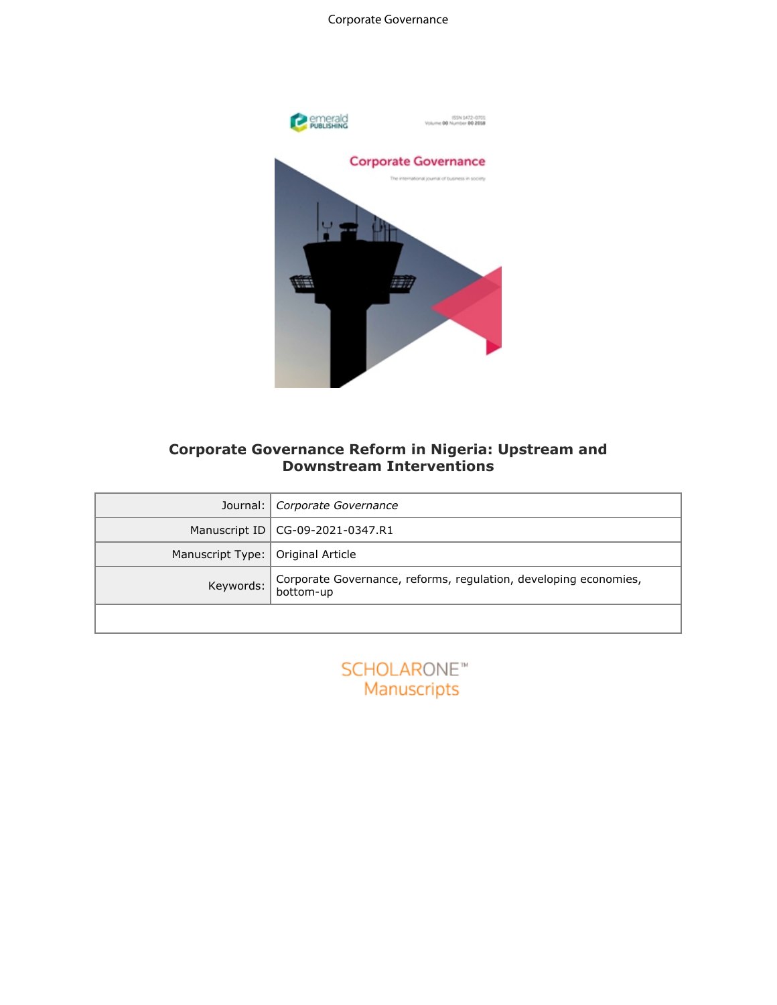### Corporate Governance



# **Corporate Governance Reform in Nigeria: Upstream and Downstream Interventions**

|                  | <b>Corporate Governance Reform in Nigeria: Upstream and</b><br><b>Downstream Interventions</b> |
|------------------|------------------------------------------------------------------------------------------------|
| Journal:         | Corporate Governance                                                                           |
| Manuscript ID    | CG-09-2021-0347.R1                                                                             |
| Manuscript Type: | Original Article                                                                               |
| Keywords:        | Corporate Governance, reforms, regulation, developing economies,<br>bottom-up                  |
|                  |                                                                                                |
|                  | <b>SCHOLARONE™</b><br>Manuscripts                                                              |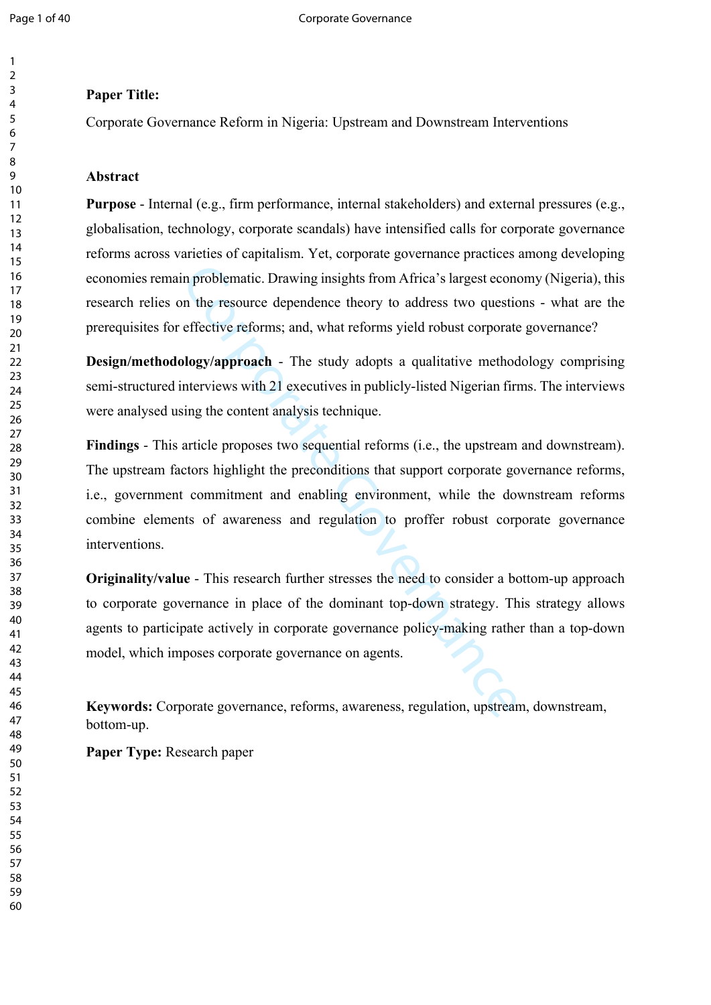### **Paper Title:**

Corporate Governance Reform in Nigeria: Upstream and Downstream Interventions

### **Abstract**

**Purpose** - Internal (e.g., firm performance, internal stakeholders) and external pressures (e.g., globalisation, technology, corporate scandals) have intensified calls for corporate governance reforms across varieties of capitalism. Yet, corporate governance practices among developing economies remain problematic. Drawing insights from Africa's largest economy (Nigeria), this research relies on the resource dependence theory to address two questions - what are the prerequisites for effective reforms; and, what reforms yield robust corporate governance?

**Design/methodology/approach** - The study adopts a qualitative methodology comprising semi-structured interviews with 21 executives in publicly-listed Nigerian firms. The interviews were analysed using the content analysis technique.

in problematic. Drawing insights from Africa's largest econor the resource dependence theory to address two questic effective reforms; and, what reforms yield robust corporate of logy/approach - The study adopts a qualitat **Findings** - This article proposes two sequential reforms (i.e., the upstream and downstream). The upstream factors highlight the preconditions that support corporate governance reforms, i.e., government commitment and enabling environment, while the downstream reforms combine elements of awareness and regulation to proffer robust corporate governance interventions.

**Originality/value** - This research further stresses the need to consider a bottom-up approach to corporate governance in place of the dominant top-down strategy. This strategy allows agents to participate actively in corporate governance policy-making rather than a top-down model, which imposes corporate governance on agents.

**Keywords:** Corporate governance, reforms, awareness, regulation, upstream, downstream, bottom-up.

**Paper Type:** Research paper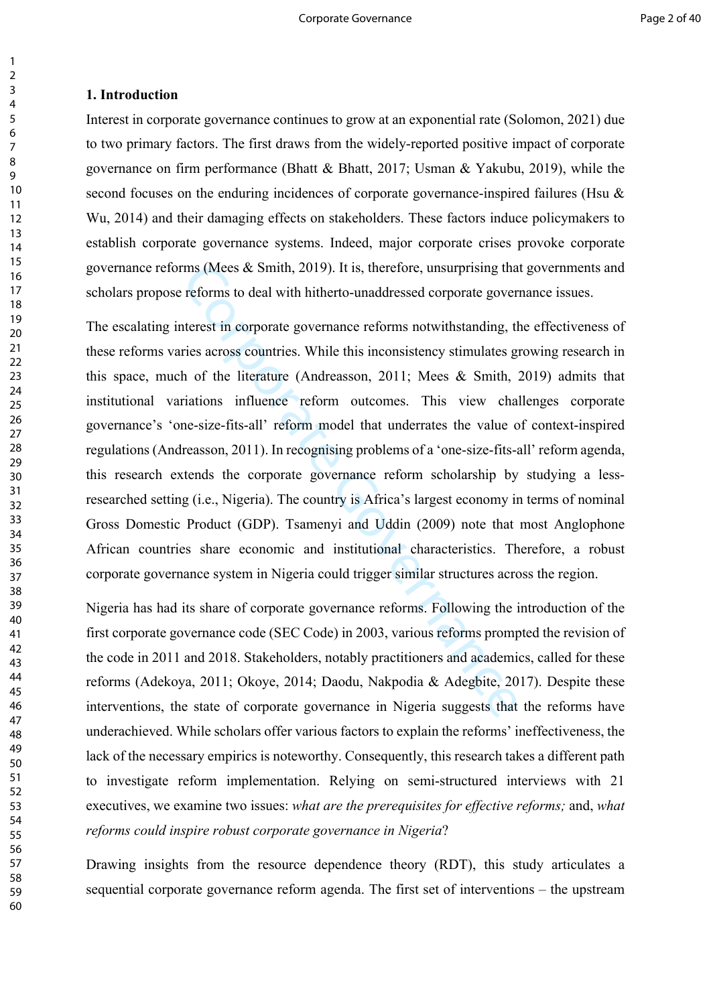### **1. Introduction**

Interest in corporate governance continues to grow at an exponential rate (Solomon, 2021) due to two primary factors. The first draws from the widely-reported positive impact of corporate governance on firm performance (Bhatt & Bhatt, 2017; Usman & Yakubu, 2019), while the second focuses on the enduring incidences of corporate governance-inspired failures (Hsu & Wu, 2014) and their damaging effects on stakeholders. These factors induce policymakers to establish corporate governance systems. Indeed, major corporate crises provoke corporate governance reforms (Mees & Smith, 2019). It is, therefore, unsurprising that governments and scholars propose reforms to deal with hitherto-unaddressed corporate governance issues.

ms (Mees & Smith, 2019). It is, therefore, unsurprising tha<br>reforms to deal with hitherto-unaddressed corporate gover<br>therest in corporate governance reforms notwithstanding, th<br>ries across countries. While this inconsist The escalating interest in corporate governance reforms notwithstanding, the effectiveness of these reforms varies across countries. While this inconsistency stimulates growing research in this space, much of the literature (Andreasson, 2011; Mees & Smith, 2019) admits that institutional variations influence reform outcomes. This view challenges corporate governance's 'one-size-fits-all' reform model that underrates the value of context-inspired regulations (Andreasson, 2011). In recognising problems of a 'one-size-fits-all' reform agenda, this research extends the corporate governance reform scholarship by studying a lessresearched setting (i.e., Nigeria). The country is Africa's largest economy in terms of nominal Gross Domestic Product (GDP). Tsamenyi and Uddin (2009) note that most Anglophone African countries share economic and institutional characteristics. Therefore, a robust corporate governance system in Nigeria could trigger similar structures across the region.

Nigeria has had its share of corporate governance reforms. Following the introduction of the first corporate governance code (SEC Code) in 2003, various reforms prompted the revision of the code in 2011 and 2018. Stakeholders, notably practitioners and academics, called for these reforms (Adekoya, 2011; Okoye, 2014; Daodu, Nakpodia & Adegbite, 2017). Despite these interventions, the state of corporate governance in Nigeria suggests that the reforms have underachieved. While scholars offer various factors to explain the reforms' ineffectiveness, the lack of the necessary empirics is noteworthy. Consequently, this research takes a different path to investigate reform implementation. Relying on semi-structured interviews with 21 executives, we examine two issues: *what are the prerequisites for effective reforms;* and, *what reforms could inspire robust corporate governance in Nigeria*?

Drawing insights from the resource dependence theory (RDT), this study articulates a sequential corporate governance reform agenda. The first set of interventions – the upstream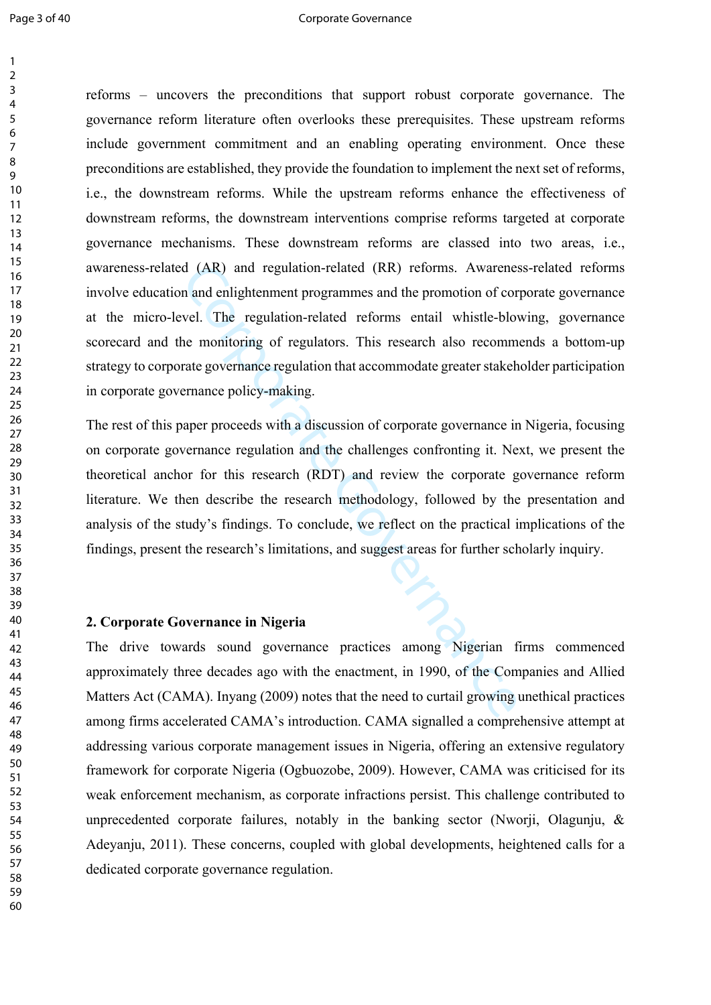#### Page 3 of 40 Corporate Governance

d (AR) and regulation-related (RR) reforms. Awarenes<br>an and enlightenment programmes and the promotion of cor<br>vel. The regulation-related reforms entail whistle-blow<br>he monitoring of regulators. This research also recommen reforms – uncovers the preconditions that support robust corporate governance. The governance reform literature often overlooks these prerequisites. These upstream reforms include government commitment and an enabling operating environment. Once these preconditions are established, they provide the foundation to implement the next set of reforms, i.e., the downstream reforms. While the upstream reforms enhance the effectiveness of downstream reforms, the downstream interventions comprise reforms targeted at corporate governance mechanisms. These downstream reforms are classed into two areas, i.e., awareness-related (AR) and regulation-related (RR) reforms. Awareness-related reforms involve education and enlightenment programmes and the promotion of corporate governance at the micro-level. The regulation-related reforms entail whistle-blowing, governance scorecard and the monitoring of regulators. This research also recommends a bottom-up strategy to corporate governance regulation that accommodate greater stakeholder participation in corporate governance policy-making.

The rest of this paper proceeds with a discussion of corporate governance in Nigeria, focusing on corporate governance regulation and the challenges confronting it. Next, we present the theoretical anchor for this research (RDT) and review the corporate governance reform literature. We then describe the research methodology, followed by the presentation and analysis of the study's findings. To conclude, we reflect on the practical implications of the findings, present the research's limitations, and suggest areas for further scholarly inquiry.

### **2. Corporate Governance in Nigeria**

The drive towards sound governance practices among Nigerian firms commenced approximately three decades ago with the enactment, in 1990, of the Companies and Allied Matters Act (CAMA). Inyang (2009) notes that the need to curtail growing unethical practices among firms accelerated CAMA's introduction. CAMA signalled a comprehensive attempt at addressing various corporate management issues in Nigeria, offering an extensive regulatory framework for corporate Nigeria (Ogbuozobe, 2009). However, CAMA was criticised for its weak enforcement mechanism, as corporate infractions persist. This challenge contributed to unprecedented corporate failures, notably in the banking sector (Nworji, Olagunju, & Adeyanju, 2011). These concerns, coupled with global developments, heightened calls for a dedicated corporate governance regulation.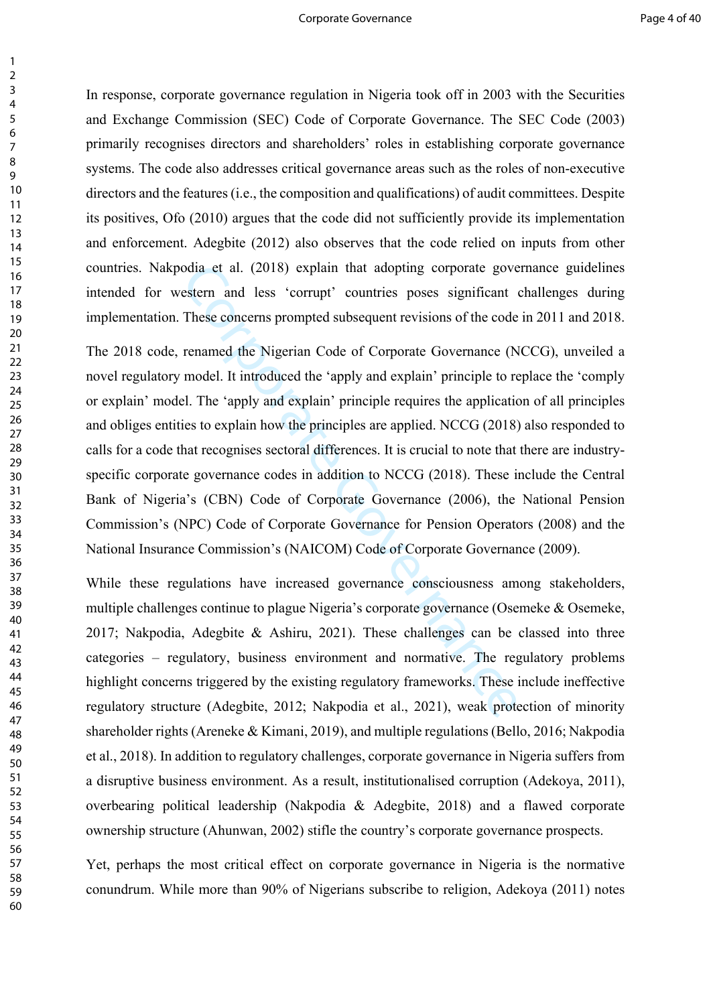In response, corporate governance regulation in Nigeria took off in 2003 with the Securities and Exchange Commission (SEC) Code of Corporate Governance. The SEC Code (2003) primarily recognises directors and shareholders' roles in establishing corporate governance systems. The code also addresses critical governance areas such as the roles of non-executive directors and the features (i.e., the composition and qualifications) of audit committees. Despite its positives, Ofo (2010) argues that the code did not sufficiently provide its implementation and enforcement. Adegbite (2012) also observes that the code relied on inputs from other countries. Nakpodia et al. (2018) explain that adopting corporate governance guidelines intended for western and less 'corrupt' countries poses significant challenges during implementation. These concerns prompted subsequent revisions of the code in 2011 and 2018.

ordia et al. (2018) explain that adopting corporate gove<br>estern and less 'corrupt' countries poses significant of<br>These concerns prompted subsequent revisions of the code<br>renamed the Nigerian Code of Corporate Governance ( The 2018 code, renamed the Nigerian Code of Corporate Governance (NCCG), unveiled a novel regulatory model. It introduced the 'apply and explain' principle to replace the 'comply or explain' model. The 'apply and explain' principle requires the application of all principles and obliges entities to explain how the principles are applied. NCCG (2018) also responded to calls for a code that recognises sectoral differences. It is crucial to note that there are industryspecific corporate governance codes in addition to NCCG (2018). These include the Central Bank of Nigeria's (CBN) Code of Corporate Governance (2006), the National Pension Commission's (NPC) Code of Corporate Governance for Pension Operators (2008) and the National Insurance Commission's (NAICOM) Code of Corporate Governance (2009).

While these regulations have increased governance consciousness among stakeholders, multiple challenges continue to plague Nigeria's corporate governance (Osemeke & Osemeke, 2017; Nakpodia, Adegbite & Ashiru, 2021). These challenges can be classed into three categories – regulatory, business environment and normative. The regulatory problems highlight concerns triggered by the existing regulatory frameworks. These include ineffective regulatory structure (Adegbite, 2012; Nakpodia et al., 2021), weak protection of minority shareholder rights (Areneke & Kimani, 2019), and multiple regulations (Bello, 2016; Nakpodia et al., 2018). In addition to regulatory challenges, corporate governance in Nigeria suffers from a disruptive business environment. As a result, institutionalised corruption (Adekoya, 2011), overbearing political leadership (Nakpodia & Adegbite, 2018) and a flawed corporate ownership structure (Ahunwan, 2002) stifle the country's corporate governance prospects.

Yet, perhaps the most critical effect on corporate governance in Nigeria is the normative conundrum. While more than 90% of Nigerians subscribe to religion, Adekoya (2011) notes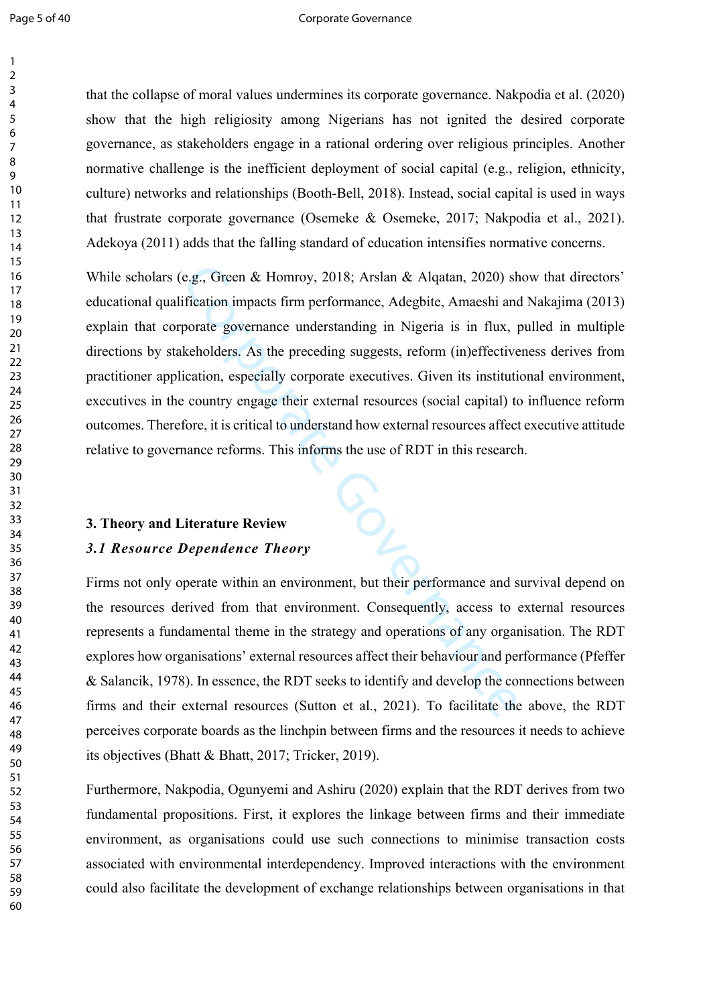#### Page 5 of 40 Corporate Governance

that the collapse of moral values undermines its corporate governance. Nakpodia et al. (2020) show that the high religiosity among Nigerians has not ignited the desired corporate governance, as stakeholders engage in a rational ordering over religious principles. Another normative challenge is the inefficient deployment of social capital (e.g., religion, ethnicity, culture) networks and relationships (Booth-Bell, 2018). Instead, social capital is used in ways that frustrate corporate governance (Osemeke & Osemeke, 2017; Nakpodia et al., 2021). Adekoya (2011) adds that the falling standard of education intensifies normative concerns.

e.g., Green & Homroy, 2018; Arslan & Alqatan, 2020) shelfication impacts firm performance, Adegbite, Amaeshi and porate governance understanding in Nigeria is in flux, 1<br>keholders. As the preceding suggests, reform (in)eff While scholars (e.g., Green & Homroy, 2018; Arslan & Alqatan, 2020) show that directors' educational qualification impacts firm performance, Adegbite, Amaeshi and Nakajima (2013) explain that corporate governance understanding in Nigeria is in flux, pulled in multiple directions by stakeholders. As the preceding suggests, reform (in)effectiveness derives from practitioner application, especially corporate executives. Given its institutional environment, executives in the country engage their external resources (social capital) to influence reform outcomes. Therefore, it is critical to understand how external resources affect executive attitude relative to governance reforms. This informs the use of RDT in this research.

# **3. Theory and Literature Review**

## *3.1 Resource Dependence Theory*

Firms not only operate within an environment, but their performance and survival depend on the resources derived from that environment. Consequently, access to external resources represents a fundamental theme in the strategy and operations of any organisation. The RDT explores how organisations' external resources affect their behaviour and performance (Pfeffer & Salancik, 1978). In essence, the RDT seeks to identify and develop the connections between firms and their external resources (Sutton et al., 2021). To facilitate the above, the RDT perceives corporate boards as the linchpin between firms and the resources it needs to achieve its objectives (Bhatt & Bhatt, 2017; Tricker, 2019).

Furthermore, Nakpodia, Ogunyemi and Ashiru (2020) explain that the RDT derives from two fundamental propositions. First, it explores the linkage between firms and their immediate environment, as organisations could use such connections to minimise transaction costs associated with environmental interdependency. Improved interactions with the environment could also facilitate the development of exchange relationships between organisations in that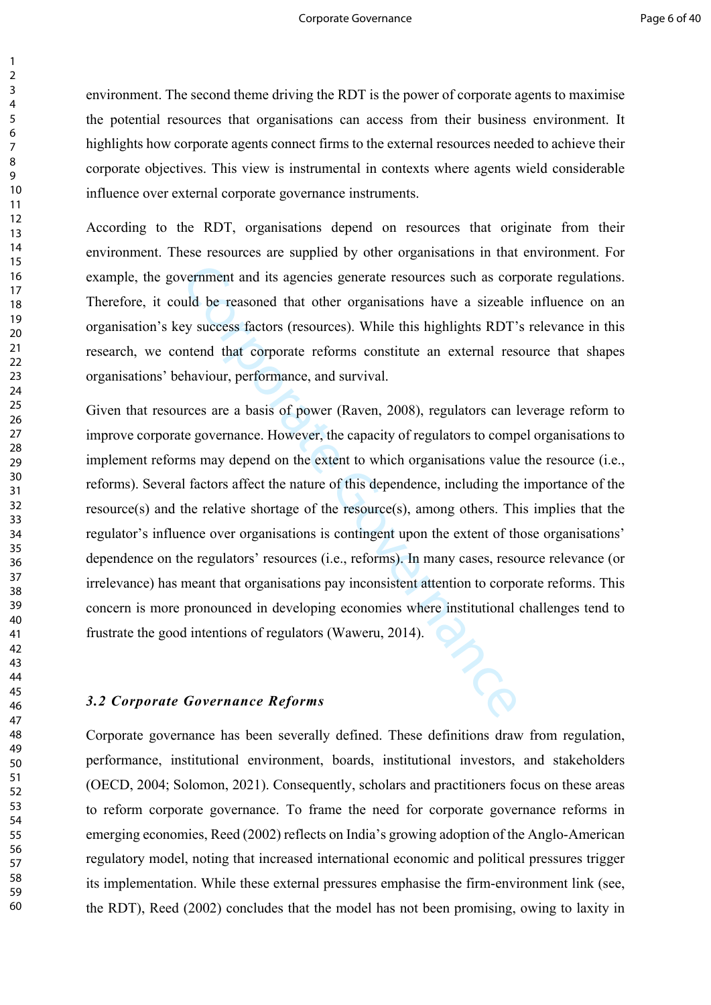environment. The second theme driving the RDT is the power of corporate agents to maximise the potential resources that organisations can access from their business environment. It highlights how corporate agents connect firms to the external resources needed to achieve their corporate objectives. This view is instrumental in contexts where agents wield considerable influence over external corporate governance instruments.

According to the RDT, organisations depend on resources that originate from their environment. These resources are supplied by other organisations in that environment. For example, the government and its agencies generate resources such as corporate regulations. Therefore, it could be reasoned that other organisations have a sizeable influence on an organisation's key success factors (resources). While this highlights RDT's relevance in this research, we contend that corporate reforms constitute an external resource that shapes organisations' behaviour, performance, and survival.

vernment and its agencies generate resources such as corpulation be reasoned that other organisations have a sizeable by success factors (resources). While this highlights RDT<sup>7</sup> intend that corporate reforms constitute an Given that resources are a basis of power (Raven, 2008), regulators can leverage reform to improve corporate governance. However, the capacity of regulators to compel organisations to implement reforms may depend on the extent to which organisations value the resource (i.e., reforms). Several factors affect the nature of this dependence, including the importance of the resource(s) and the relative shortage of the resource(s), among others. This implies that the regulator's influence over organisations is contingent upon the extent of those organisations' dependence on the regulators' resources (i.e., reforms). In many cases, resource relevance (or irrelevance) has meant that organisations pay inconsistent attention to corporate reforms. This concern is more pronounced in developing economies where institutional challenges tend to frustrate the good intentions of regulators (Waweru, 2014).

### *3.2 Corporate Governance Reforms*

Corporate governance has been severally defined. These definitions draw from regulation, performance, institutional environment, boards, institutional investors, and stakeholders (OECD, 2004; Solomon, 2021). Consequently, scholars and practitioners focus on these areas to reform corporate governance. To frame the need for corporate governance reforms in emerging economies, Reed (2002) reflects on India's growing adoption of the Anglo-American regulatory model, noting that increased international economic and political pressures trigger its implementation. While these external pressures emphasise the firm-environment link (see, the RDT), Reed (2002) concludes that the model has not been promising, owing to laxity in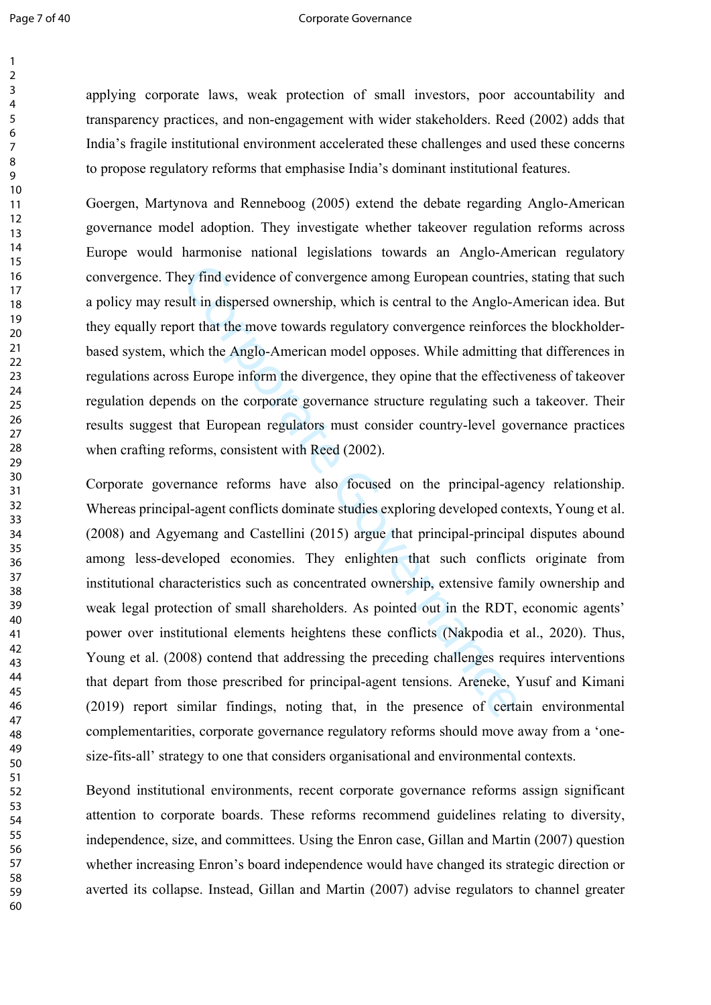#### Page 7 of 40 Corporate Governance

applying corporate laws, weak protection of small investors, poor accountability and transparency practices, and non-engagement with wider stakeholders. Reed (2002) adds that India's fragile institutional environment accelerated these challenges and used these concerns to propose regulatory reforms that emphasise India's dominant institutional features.

Goergen, Martynova and Renneboog (2005) extend the debate regarding Anglo-American governance model adoption. They investigate whether takeover regulation reforms across Europe would harmonise national legislations towards an Anglo-American regulatory convergence. They find evidence of convergence among European countries, stating that such a policy may result in dispersed ownership, which is central to the Anglo-American idea. But they equally report that the move towards regulatory convergence reinforces the blockholderbased system, which the Anglo-American model opposes. While admitting that differences in regulations across Europe inform the divergence, they opine that the effectiveness of takeover regulation depends on the corporate governance structure regulating such a takeover. Their results suggest that European regulators must consider country-level governance practices when crafting reforms, consistent with Reed (2002).

ey find evidence of convergence among European countries<br>ult in dispersed ownership, which is central to the Anglo-A<br>ort that the move towards regulatory convergence reinforce<br>hich the Anglo-American model opposes. While a Corporate governance reforms have also focused on the principal-agency relationship. Whereas principal-agent conflicts dominate studies exploring developed contexts, Young et al. (2008) and Agyemang and Castellini (2015) argue that principal-principal disputes abound among less-developed economies. They enlighten that such conflicts originate from institutional characteristics such as concentrated ownership, extensive family ownership and weak legal protection of small shareholders. As pointed out in the RDT, economic agents' power over institutional elements heightens these conflicts (Nakpodia et al., 2020). Thus, Young et al. (2008) contend that addressing the preceding challenges requires interventions that depart from those prescribed for principal-agent tensions. Areneke, Yusuf and Kimani (2019) report similar findings, noting that, in the presence of certain environmental complementarities, corporate governance regulatory reforms should move away from a 'onesize-fits-all' strategy to one that considers organisational and environmental contexts.

Beyond institutional environments, recent corporate governance reforms assign significant attention to corporate boards. These reforms recommend guidelines relating to diversity, independence, size, and committees. Using the Enron case, Gillan and Martin (2007) question whether increasing Enron's board independence would have changed its strategic direction or averted its collapse. Instead, Gillan and Martin (2007) advise regulators to channel greater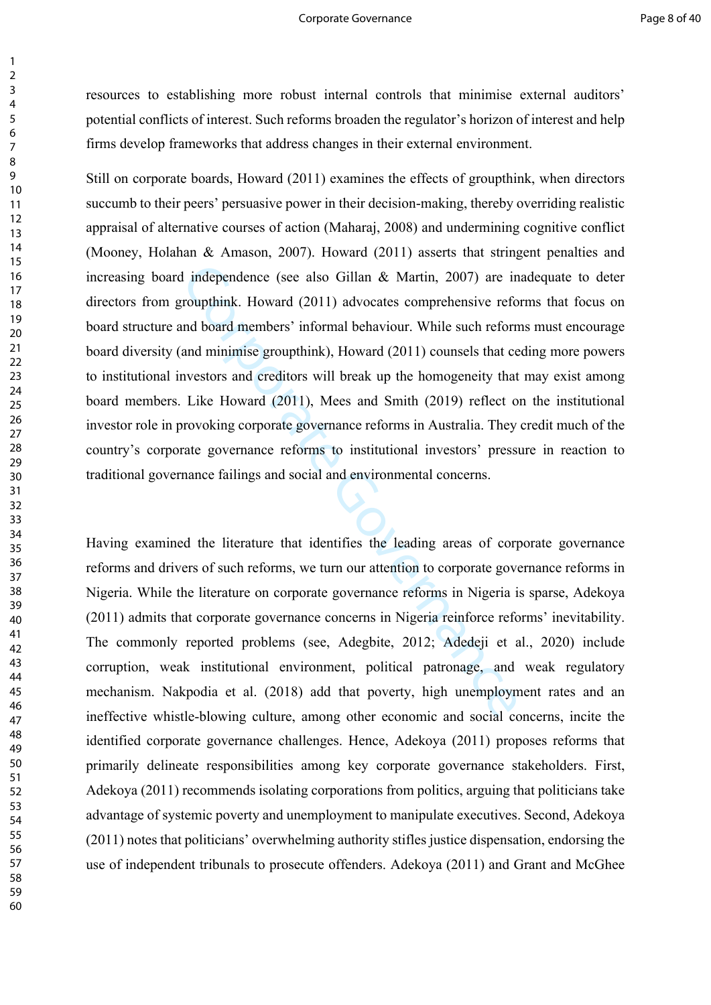resources to establishing more robust internal controls that minimise external auditors' potential conflicts of interest. Such reforms broaden the regulator's horizon of interest and help firms develop frameworks that address changes in their external environment.

I independence (see also Gillan & Martin, 2007) are in<br>troupthink. Howard (2011) advocates comprehensive refo<br>md board members' informal behaviour. While such reform<br>and minimise groupthink), Howard (2011) counsels that c Still on corporate boards, Howard (2011) examines the effects of groupthink, when directors succumb to their peers' persuasive power in their decision-making, thereby overriding realistic appraisal of alternative courses of action (Maharaj, 2008) and undermining cognitive conflict (Mooney, Holahan & Amason, 2007). Howard (2011) asserts that stringent penalties and increasing board independence (see also Gillan & Martin, 2007) are inadequate to deter directors from groupthink. Howard (2011) advocates comprehensive reforms that focus on board structure and board members' informal behaviour. While such reforms must encourage board diversity (and minimise groupthink), Howard (2011) counsels that ceding more powers to institutional investors and creditors will break up the homogeneity that may exist among board members. Like Howard (2011), Mees and Smith (2019) reflect on the institutional investor role in provoking corporate governance reforms in Australia. They credit much of the country's corporate governance reforms to institutional investors' pressure in reaction to traditional governance failings and social and environmental concerns.

Having examined the literature that identifies the leading areas of corporate governance reforms and drivers of such reforms, we turn our attention to corporate governance reforms in Nigeria. While the literature on corporate governance reforms in Nigeria is sparse, Adekoya (2011) admits that corporate governance concerns in Nigeria reinforce reforms' inevitability. The commonly reported problems (see, Adegbite, 2012; Adedeji et al., 2020) include corruption, weak institutional environment, political patronage, and weak regulatory mechanism. Nakpodia et al. (2018) add that poverty, high unemployment rates and an ineffective whistle-blowing culture, among other economic and social concerns, incite the identified corporate governance challenges. Hence, Adekoya (2011) proposes reforms that primarily delineate responsibilities among key corporate governance stakeholders. First, Adekoya (2011) recommends isolating corporations from politics, arguing that politicians take advantage of systemic poverty and unemployment to manipulate executives. Second, Adekoya (2011) notes that politicians' overwhelming authority stifles justice dispensation, endorsing the use of independent tribunals to prosecute offenders. Adekoya (2011) and Grant and McGhee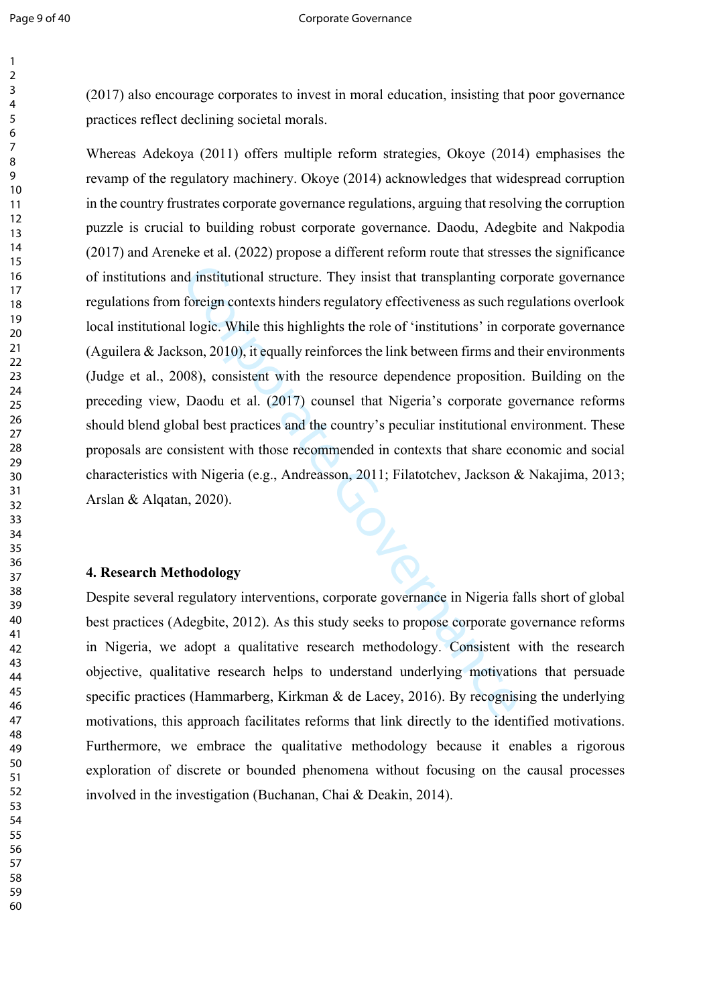(2017) also encourage corporates to invest in moral education, insisting that poor governance practices reflect declining societal morals.

nd institutional structure. They insist that transplanting correction concernance and the logic. While this highlights the role of 'institutions' in cor<br>
1 logic. While this highlights the role of 'institutions' in cor<br>
1 Whereas Adekoya (2011) offers multiple reform strategies, Okoye (2014) emphasises the revamp of the regulatory machinery. Okoye (2014) acknowledges that widespread corruption in the country frustrates corporate governance regulations, arguing that resolving the corruption puzzle is crucial to building robust corporate governance. Daodu, Adegbite and Nakpodia (2017) and Areneke et al. (2022) propose a different reform route that stresses the significance of institutions and institutional structure. They insist that transplanting corporate governance regulations from foreign contexts hinders regulatory effectiveness as such regulations overlook local institutional logic. While this highlights the role of 'institutions' in corporate governance (Aguilera  $\&$  Jackson, 2010), it equally reinforces the link between firms and their environments (Judge et al., 2008), consistent with the resource dependence proposition. Building on the preceding view, Daodu et al. (2017) counsel that Nigeria's corporate governance reforms should blend global best practices and the country's peculiar institutional environment. These proposals are consistent with those recommended in contexts that share economic and social characteristics with Nigeria (e.g., Andreasson, 2011; Filatotchev, Jackson & Nakajima, 2013; Arslan & Alqatan, 2020).

### **4. Research Methodology**

Despite several regulatory interventions, corporate governance in Nigeria falls short of global best practices (Adegbite, 2012). As this study seeks to propose corporate governance reforms in Nigeria, we adopt a qualitative research methodology. Consistent with the research objective, qualitative research helps to understand underlying motivations that persuade specific practices (Hammarberg, Kirkman & de Lacey, 2016). By recognising the underlying motivations, this approach facilitates reforms that link directly to the identified motivations. Furthermore, we embrace the qualitative methodology because it enables a rigorous exploration of discrete or bounded phenomena without focusing on the causal processes involved in the investigation (Buchanan, Chai & Deakin, 2014).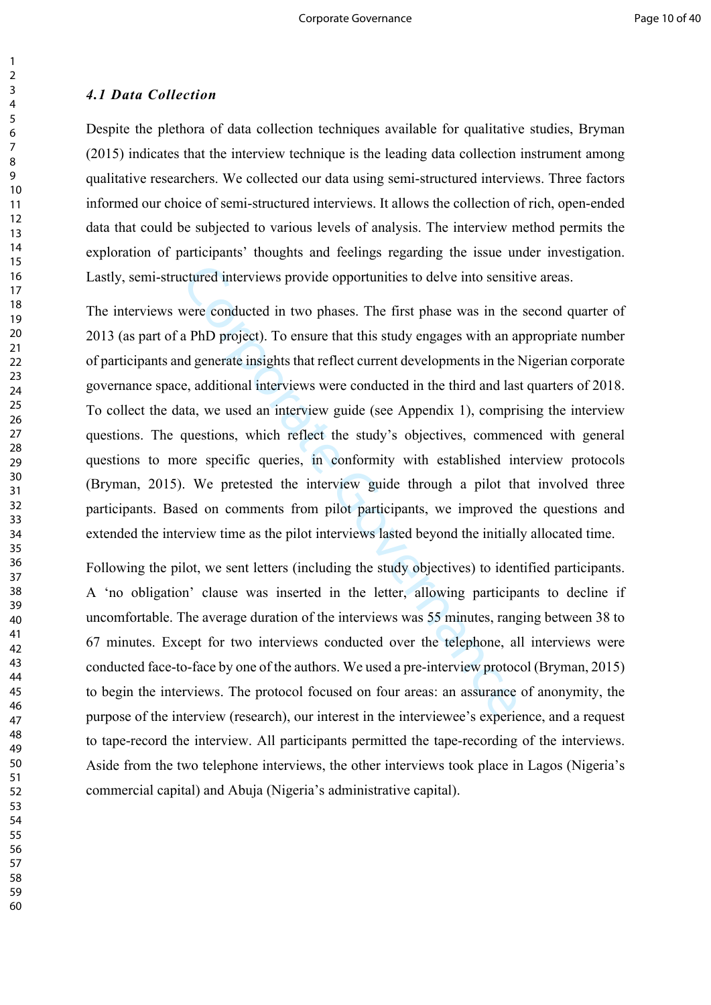### *4.1 Data Collection*

Despite the plethora of data collection techniques available for qualitative studies. Bryman (2015) indicates that the interview technique is the leading data collection instrument among qualitative researchers. We collected our data using semi-structured interviews. Three factors informed our choice of semi-structured interviews. It allows the collection of rich, open-ended data that could be subjected to various levels of analysis. The interview method permits the exploration of participants' thoughts and feelings regarding the issue under investigation. Lastly, semi-structured interviews provide opportunities to delve into sensitive areas.

ctured interviews provide opportunities to delve into sensit<br>were conducted in two phases. The first phase was in the<br>a PhD project). To ensure that this study engages with an a<br>id generate insights that reflect current de The interviews were conducted in two phases. The first phase was in the second quarter of 2013 (as part of a PhD project). To ensure that this study engages with an appropriate number of participants and generate insights that reflect current developments in the Nigerian corporate governance space, additional interviews were conducted in the third and last quarters of 2018. To collect the data, we used an interview guide (see Appendix 1), comprising the interview questions. The questions, which reflect the study's objectives, commenced with general questions to more specific queries, in conformity with established interview protocols (Bryman, 2015). We pretested the interview guide through a pilot that involved three participants. Based on comments from pilot participants, we improved the questions and extended the interview time as the pilot interviews lasted beyond the initially allocated time.

Following the pilot, we sent letters (including the study objectives) to identified participants. A 'no obligation' clause was inserted in the letter, allowing participants to decline if uncomfortable. The average duration of the interviews was 55 minutes, ranging between 38 to 67 minutes. Except for two interviews conducted over the telephone, all interviews were conducted face-to-face by one of the authors. We used a pre-interview protocol (Bryman, 2015) to begin the interviews. The protocol focused on four areas: an assurance of anonymity, the purpose of the interview (research), our interest in the interviewee's experience, and a request to tape-record the interview. All participants permitted the tape-recording of the interviews. Aside from the two telephone interviews, the other interviews took place in Lagos (Nigeria's commercial capital) and Abuja (Nigeria's administrative capital).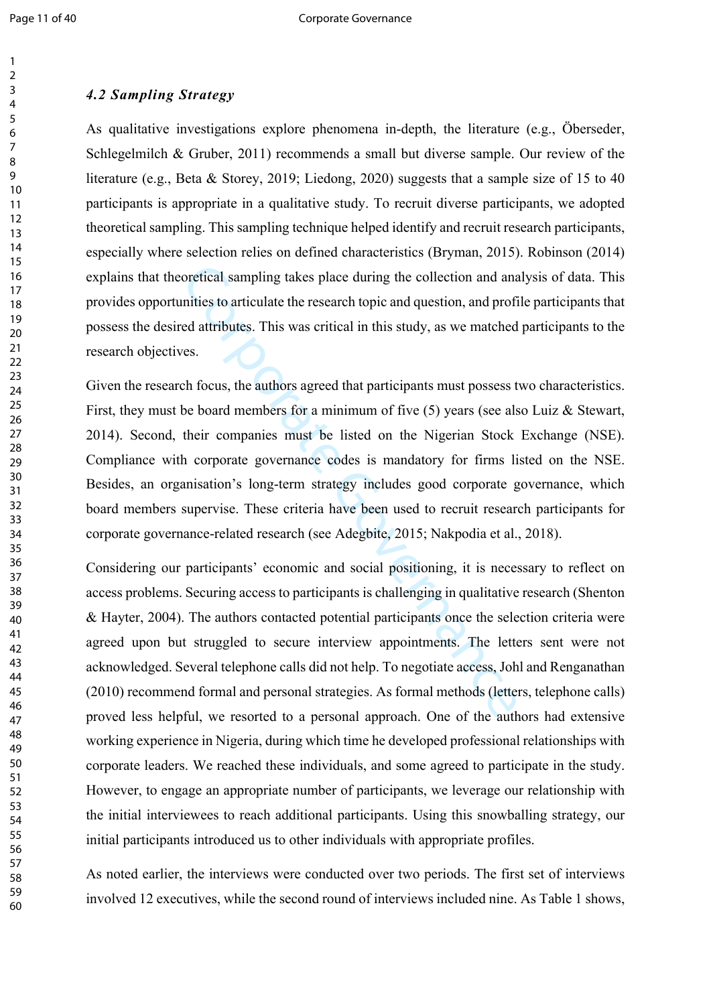## *4.2 Sampling Strategy*

As qualitative investigations explore phenomena in-depth, the literature (e.g., Öberseder, Schlegelmilch & Gruber, 2011) recommends a small but diverse sample. Our review of the literature (e.g., Beta & Storey, 2019; Liedong, 2020) suggests that a sample size of 15 to 40 participants is appropriate in a qualitative study. To recruit diverse participants, we adopted theoretical sampling. This sampling technique helped identify and recruit research participants, especially where selection relies on defined characteristics (Bryman, 2015). Robinson (2014) explains that theoretical sampling takes place during the collection and analysis of data. This provides opportunities to articulate the research topic and question, and profile participants that possess the desired attributes. This was critical in this study, as we matched participants to the research objectives.

oretical sampling takes place during the collection and anamities to articulate the research topic and question, and profied attributes. This was critical in this study, as we matched ves.<br>
the focus, the authors agreed th Given the research focus, the authors agreed that participants must possess two characteristics. First, they must be board members for a minimum of five (5) years (see also Luiz & Stewart, 2014). Second, their companies must be listed on the Nigerian Stock Exchange (NSE). Compliance with corporate governance codes is mandatory for firms listed on the NSE. Besides, an organisation's long-term strategy includes good corporate governance, which board members supervise. These criteria have been used to recruit research participants for corporate governance-related research (see Adegbite, 2015; Nakpodia et al., 2018).

Considering our participants' economic and social positioning, it is necessary to reflect on access problems. Securing access to participants is challenging in qualitative research (Shenton & Hayter, 2004). The authors contacted potential participants once the selection criteria were agreed upon but struggled to secure interview appointments. The letters sent were not acknowledged. Several telephone calls did not help. To negotiate access, Johl and Renganathan (2010) recommend formal and personal strategies. As formal methods (letters, telephone calls) proved less helpful, we resorted to a personal approach. One of the authors had extensive working experience in Nigeria, during which time he developed professional relationships with corporate leaders. We reached these individuals, and some agreed to participate in the study. However, to engage an appropriate number of participants, we leverage our relationship with the initial interviewees to reach additional participants. Using this snowballing strategy, our initial participants introduced us to other individuals with appropriate profiles.

As noted earlier, the interviews were conducted over two periods. The first set of interviews involved 12 executives, while the second round of interviews included nine. As Table 1 shows,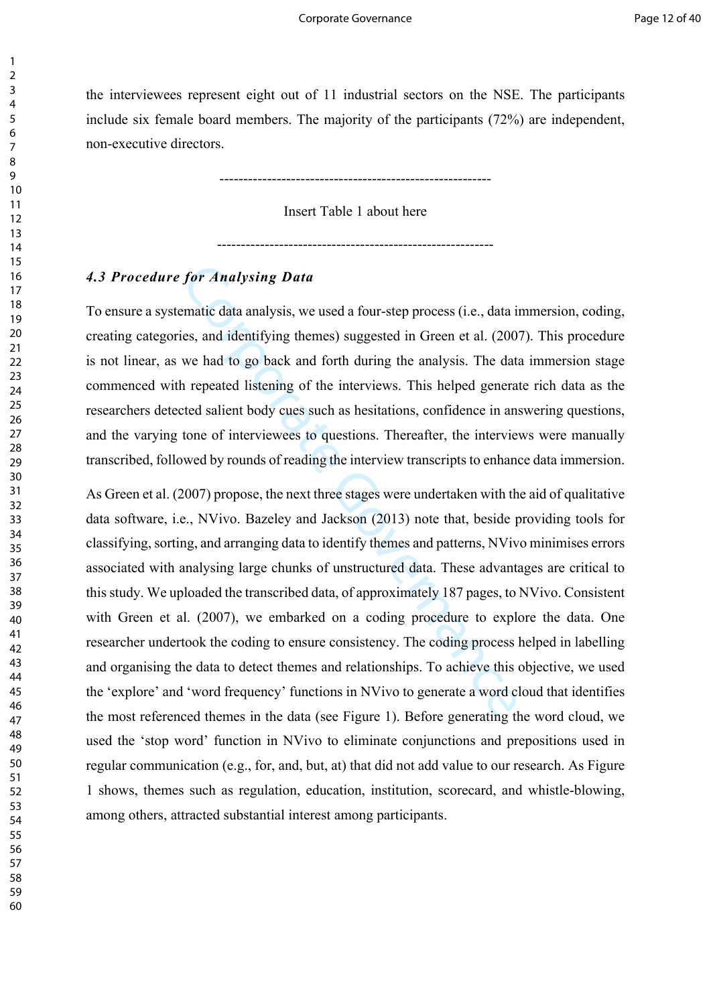the interviewees represent eight out of 11 industrial sectors on the NSE. The participants include six female board members. The majority of the participants (72%) are independent, non-executive directors.

---------------------------------------------------------

Insert Table 1 about here

----------------------------------------------------------

## *4.3 Procedure for Analysing Data*

To ensure a systematic data analysis, we used a four-step process (i.e., data immersion, coding, creating categories, and identifying themes) suggested in Green et al. (2007). This procedure is not linear, as we had to go back and forth during the analysis. The data immersion stage commenced with repeated listening of the interviews. This helped generate rich data as the researchers detected salient body cues such as hesitations, confidence in answering questions, and the varying tone of interviewees to questions. Thereafter, the interviews were manually transcribed, followed by rounds of reading the interview transcripts to enhance data immersion.

for *Analysing Data*<br>
matic data analysis, we used a four-step process (i.e., data in<br>
es, and identifying themes) suggested in Green et al. (200'<br>
we had to go back and forth during the analysis. The data<br>
1 repeated list As Green et al. (2007) propose, the next three stages were undertaken with the aid of qualitative data software, i.e., NVivo. Bazeley and Jackson (2013) note that, beside providing tools for classifying, sorting, and arranging data to identify themes and patterns, NVivo minimises errors associated with analysing large chunks of unstructured data. These advantages are critical to this study. We uploaded the transcribed data, of approximately 187 pages, to NVivo. Consistent with Green et al. (2007), we embarked on a coding procedure to explore the data. One researcher undertook the coding to ensure consistency. The coding process helped in labelling and organising the data to detect themes and relationships. To achieve this objective, we used the 'explore' and 'word frequency' functions in NVivo to generate a word cloud that identifies the most referenced themes in the data (see Figure 1). Before generating the word cloud, we used the 'stop word' function in NVivo to eliminate conjunctions and prepositions used in regular communication (e.g., for, and, but, at) that did not add value to our research. As Figure 1 shows, themes such as regulation, education, institution, scorecard, and whistle-blowing, among others, attracted substantial interest among participants.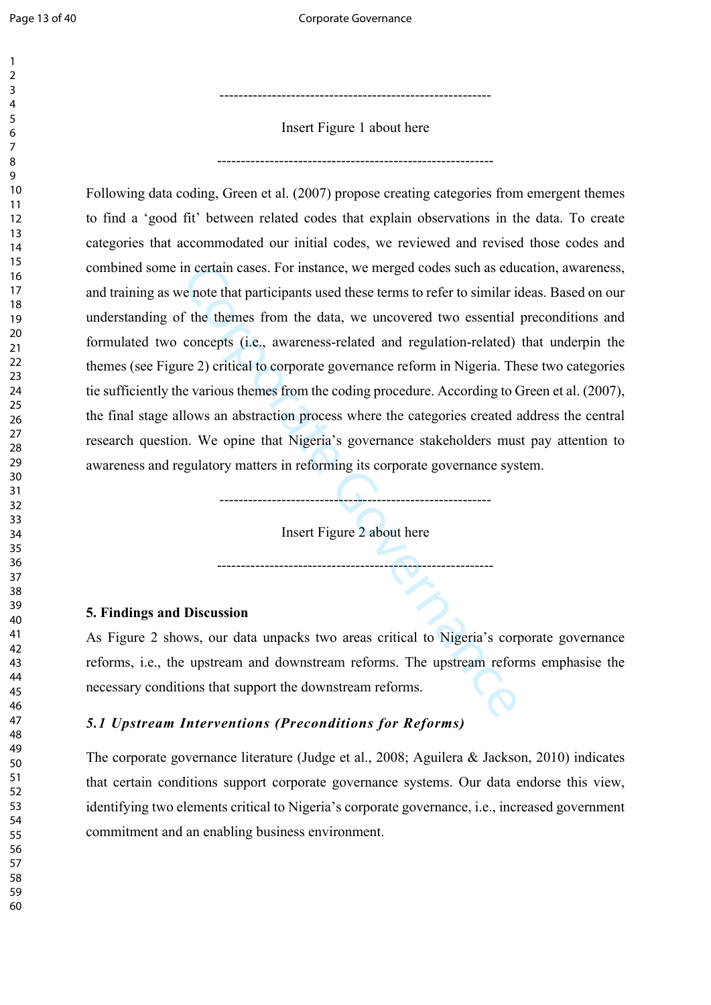---------------------------------------------------------

Insert Figure 1 about here

----------------------------------------------------------

in certain cases. For instance, we merged codes such as educe the that participants used these terms to refer to similar if the themes from the data, we uncovered two essential concepts (i.e., awareness-related and regulat Following data coding, Green et al. (2007) propose creating categories from emergent themes to find a 'good fit' between related codes that explain observations in the data. To create categories that accommodated our initial codes, we reviewed and revised those codes and combined some in certain cases. For instance, we merged codes such as education, awareness, and training as we note that participants used these terms to refer to similar ideas. Based on our understanding of the themes from the data, we uncovered two essential preconditions and formulated two concepts (i.e., awareness-related and regulation-related) that underpin the themes (see Figure 2) critical to corporate governance reform in Nigeria. These two categories tie sufficiently the various themes from the coding procedure. According to Green et al. (2007), the final stage allows an abstraction process where the categories created address the central research question. We opine that Nigeria's governance stakeholders must pay attention to awareness and regulatory matters in reforming its corporate governance system.

Insert Figure 2 about here

----------------------------------------------------------

---------------------------------------------------------

## **5. Findings and Discussion**

As Figure 2 shows, our data unpacks two areas critical to Nigeria's corporate governance reforms, i.e., the upstream and downstream reforms. The upstream reforms emphasise the necessary conditions that support the downstream reforms.

## *5.1 Upstream Interventions (Preconditions for Reforms)*

The corporate governance literature (Judge et al., 2008; Aguilera & Jackson, 2010) indicates that certain conditions support corporate governance systems. Our data endorse this view, identifying two elements critical to Nigeria's corporate governance, i.e., increased government commitment and an enabling business environment.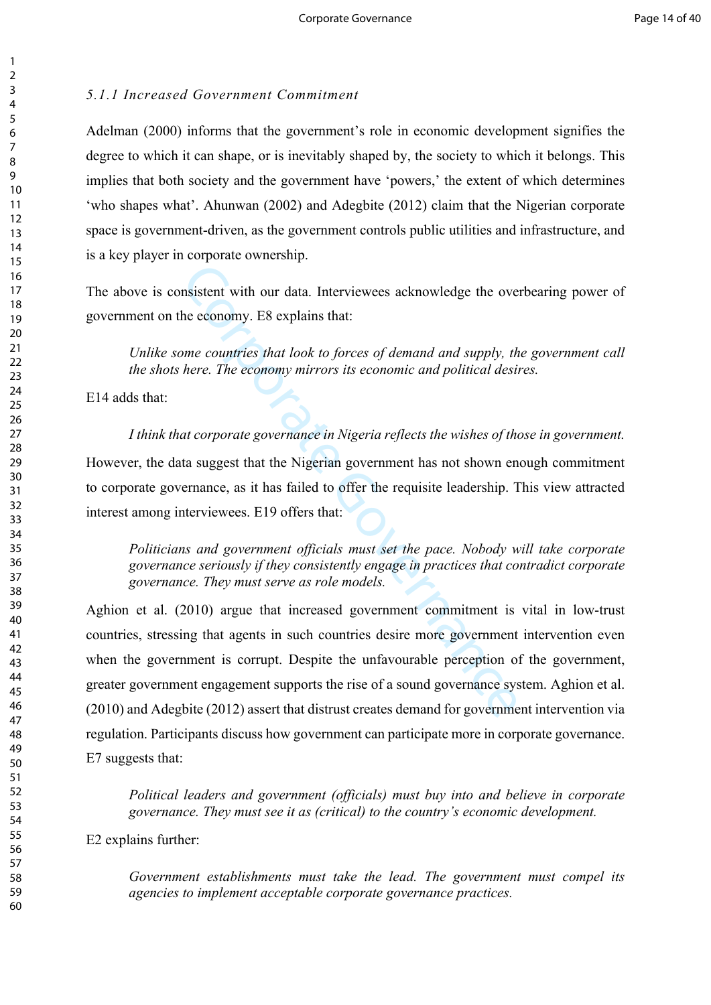# *5.1.1 Increased Government Commitment*

Adelman (2000) informs that the government's role in economic development signifies the degree to which it can shape, or is inevitably shaped by, the society to which it belongs. This implies that both society and the government have 'powers,' the extent of which determines 'who shapes what'. Ahunwan (2002) and Adegbite (2012) claim that the Nigerian corporate space is government-driven, as the government controls public utilities and infrastructure, and is a key player in corporate ownership.

The above is consistent with our data. Interviewees acknowledge the overbearing power of government on the economy. E8 explains that:

*Unlike some countries that look to forces of demand and supply, the government call the shots here. The economy mirrors its economic and political desires.* 

E14 adds that:

*I think that corporate governance in Nigeria reflects the wishes of those in government.*  However, the data suggest that the Nigerian government has not shown enough commitment to corporate governance, as it has failed to offer the requisite leadership. This view attracted interest among interviewees. E19 offers that:

*Politicians and government officials must set the pace. Nobody will take corporate governance seriously if they consistently engage in practices that contradict corporate governance. They must serve as role models.*

issistent with our data. Interviewees acknowledge the ove<br>he economy. E8 explains that:<br>me countries that look to forces of demand and supply, th<br>here. The economy mirrors its economic and political desis<br>at corporate gove Aghion et al. (2010) argue that increased government commitment is vital in low-trust countries, stressing that agents in such countries desire more government intervention even when the government is corrupt. Despite the unfavourable perception of the government, greater government engagement supports the rise of a sound governance system. Aghion et al. (2010) and Adegbite (2012) assert that distrust creates demand for government intervention via regulation. Participants discuss how government can participate more in corporate governance. E7 suggests that:

*Political leaders and government (officials) must buy into and believe in corporate governance. They must see it as (critical) to the country's economic development.*

E2 explains further:

*Government establishments must take the lead. The government must compel its agencies to implement acceptable corporate governance practices.*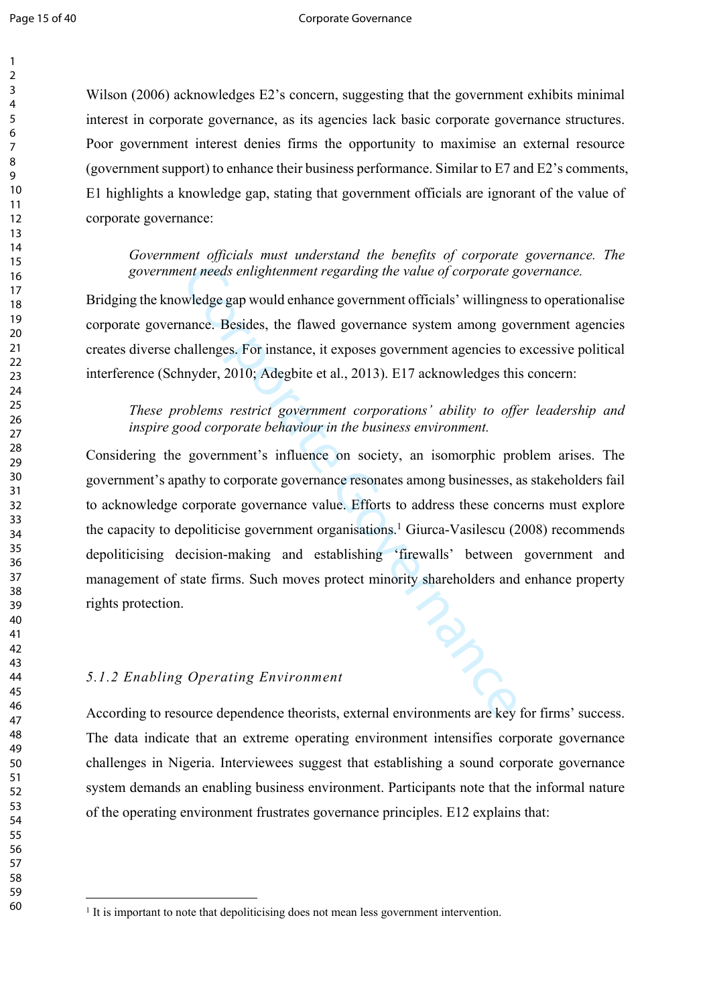Wilson (2006) acknowledges E2's concern, suggesting that the government exhibits minimal interest in corporate governance, as its agencies lack basic corporate governance structures. Poor government interest denies firms the opportunity to maximise an external resource (government support) to enhance their business performance. Similar to E7 and E2's comments, E1 highlights a knowledge gap, stating that government officials are ignorant of the value of corporate governance:

## *Government officials must understand the benefits of corporate governance. The government needs enlightenment regarding the value of corporate governance.*

Bridging the knowledge gap would enhance government officials' willingness to operationalise corporate governance. Besides, the flawed governance system among government agencies creates diverse challenges. For instance, it exposes government agencies to excessive political interference (Schnyder, 2010; Adegbite et al., 2013). E17 acknowledges this concern:

# *These problems restrict government corporations' ability to offer leadership and inspire good corporate behaviour in the business environment.*

ent needs enlightenment regarding the value of corporate g<br>wledge gap would enhance government officials' willingnes<br>ance. Besides, the flawed governance system among gov<br>hallenges. For instance, it exposes government agen Considering the government's influence on society, an isomorphic problem arises. The government's apathy to corporate governance resonates among businesses, as stakeholders fail to acknowledge corporate governance value. Efforts to address these concerns must explore the capacity to depoliticise government organisations.<sup>1</sup> Giurca-Vasilescu (2008) recommends depoliticising decision-making and establishing 'firewalls' between government and management of state firms. Such moves protect minority shareholders and enhance property rights protection.

### *5.1.2 Enabling Operating Environment*

According to resource dependence theorists, external environments are key for firms' success. The data indicate that an extreme operating environment intensifies corporate governance challenges in Nigeria. Interviewees suggest that establishing a sound corporate governance system demands an enabling business environment. Participants note that the informal nature of the operating environment frustrates governance principles. E12 explains that:

<sup>&</sup>lt;sup>1</sup> It is important to note that depoliticising does not mean less government intervention.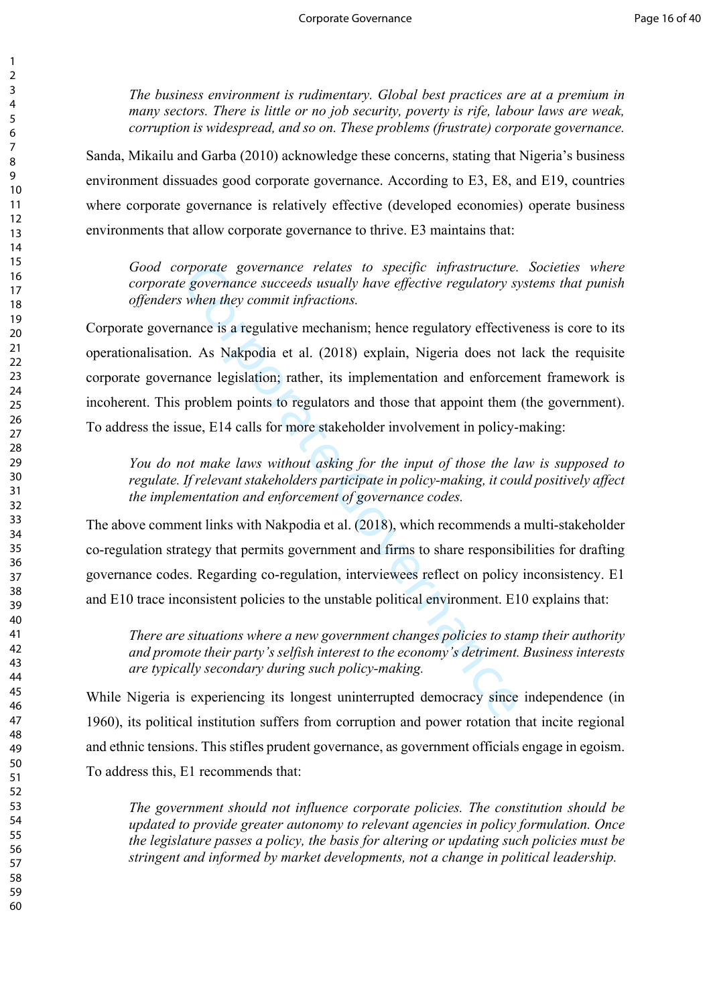*The business environment is rudimentary. Global best practices are at a premium in many sectors. There is little or no job security, poverty is rife, labour laws are weak, corruption is widespread, and so on. These problems (frustrate) corporate governance.*

Sanda, Mikailu and Garba (2010) acknowledge these concerns, stating that Nigeria's business environment dissuades good corporate governance. According to E3, E8, and E19, countries where corporate governance is relatively effective (developed economies) operate business environments that allow corporate governance to thrive. E3 maintains that:

*Good corporate governance relates to specific infrastructure. Societies where corporate governance succeeds usually have effective regulatory systems that punish offenders when they commit infractions.* 

*reflates to specific infrastructure.*<br>*Exercise governance relates to specific infrastructure.*<br>*Summarial and the commit infractions.*<br>Then they commit infractions.<br>
As Nakpodia et al. (2018) explain, Nigeria does not<br>
a Corporate governance is a regulative mechanism; hence regulatory effectiveness is core to its operationalisation. As Nakpodia et al. (2018) explain, Nigeria does not lack the requisite corporate governance legislation; rather, its implementation and enforcement framework is incoherent. This problem points to regulators and those that appoint them (the government). To address the issue, E14 calls for more stakeholder involvement in policy-making:

*You do not make laws without asking for the input of those the law is supposed to regulate. If relevant stakeholders participate in policy-making, it could positively affect the implementation and enforcement of governance codes.*

The above comment links with Nakpodia et al. (2018), which recommends a multi-stakeholder co-regulation strategy that permits government and firms to share responsibilities for drafting governance codes. Regarding co-regulation, interviewees reflect on policy inconsistency. E1 and E10 trace inconsistent policies to the unstable political environment. E10 explains that:

*There are situations where a new government changes policies to stamp their authority and promote their party's selfish interest to the economy's detriment. Business interests are typically secondary during such policy-making.*

While Nigeria is experiencing its longest uninterrupted democracy since independence (in 1960), its political institution suffers from corruption and power rotation that incite regional and ethnic tensions. This stifles prudent governance, as government officials engage in egoism. To address this, E1 recommends that:

*The government should not influence corporate policies. The constitution should be updated to provide greater autonomy to relevant agencies in policy formulation. Once the legislature passes a policy, the basis for altering or updating such policies must be stringent and informed by market developments, not a change in political leadership.*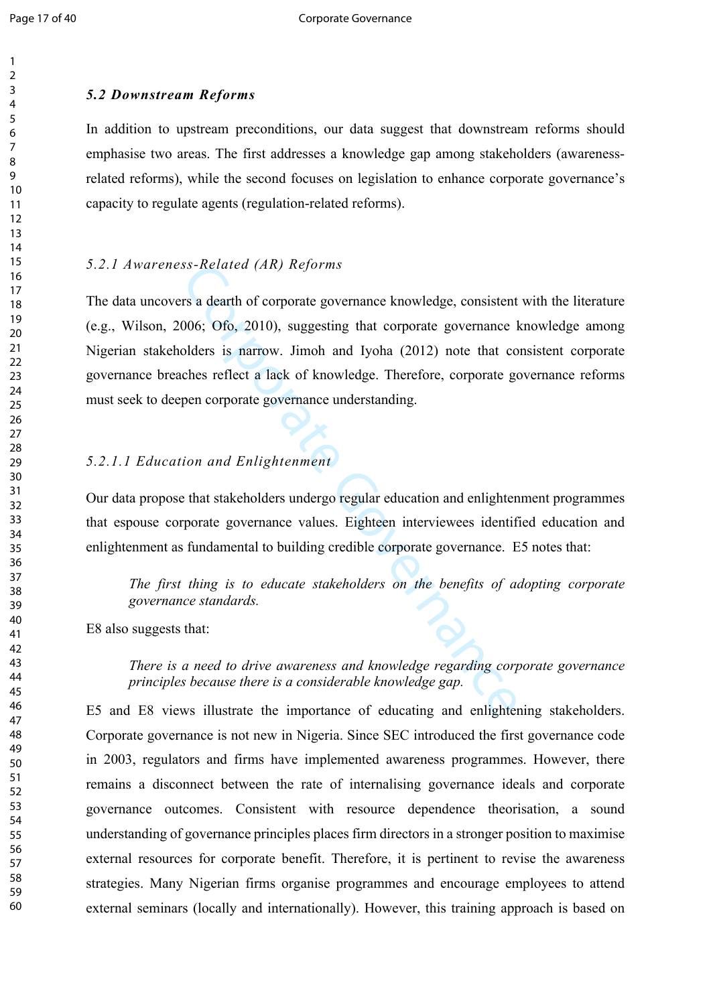### *5.2 Downstream Reforms*

In addition to upstream preconditions, our data suggest that downstream reforms should emphasise two areas. The first addresses a knowledge gap among stakeholders (awarenessrelated reforms), while the second focuses on legislation to enhance corporate governance's capacity to regulate agents (regulation-related reforms).

### *5.2.1 Awareness-Related (AR) Reforms*

*ss-Related (AR) Reforms*<br>rs a dearth of corporate governance knowledge, consistent<br>006; Ofo, 2010), suggesting that corporate governance l<br>plders is narrow. Jimoh and Iyoha (2012) note that co<br>ches reflect a lack of knowl The data uncovers a dearth of corporate governance knowledge, consistent with the literature (e.g., Wilson, 2006; Ofo, 2010), suggesting that corporate governance knowledge among Nigerian stakeholders is narrow. Jimoh and Iyoha (2012) note that consistent corporate governance breaches reflect a lack of knowledge. Therefore, corporate governance reforms must seek to deepen corporate governance understanding.

# *5.2.1.1 Education and Enlightenment*

Our data propose that stakeholders undergo regular education and enlightenment programmes that espouse corporate governance values. Eighteen interviewees identified education and enlightenment as fundamental to building credible corporate governance. E5 notes that:

*The first thing is to educate stakeholders on the benefits of adopting corporate governance standards.*

E8 also suggests that:

*There is a need to drive awareness and knowledge regarding corporate governance principles because there is a considerable knowledge gap.*

E5 and E8 views illustrate the importance of educating and enlightening stakeholders. Corporate governance is not new in Nigeria. Since SEC introduced the first governance code in 2003, regulators and firms have implemented awareness programmes. However, there remains a disconnect between the rate of internalising governance ideals and corporate governance outcomes. Consistent with resource dependence theorisation, a sound understanding of governance principles places firm directors in a stronger position to maximise external resources for corporate benefit. Therefore, it is pertinent to revise the awareness strategies. Many Nigerian firms organise programmes and encourage employees to attend external seminars (locally and internationally). However, this training approach is based on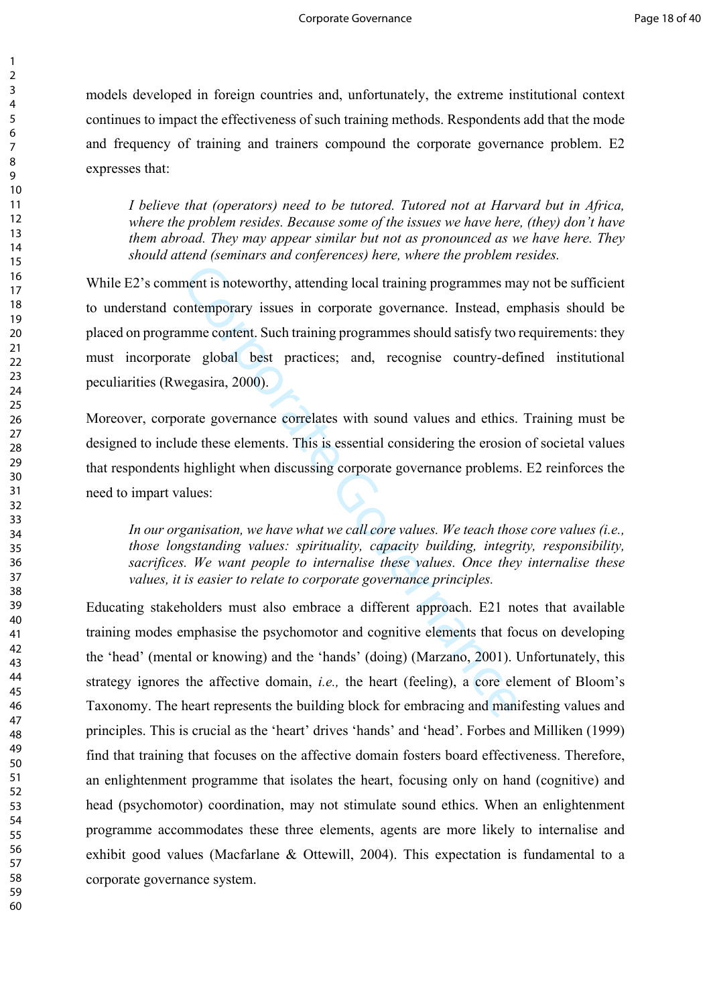models developed in foreign countries and, unfortunately, the extreme institutional context continues to impact the effectiveness of such training methods. Respondents add that the mode and frequency of training and trainers compound the corporate governance problem. E2 expresses that:

*I believe that (operators) need to be tutored. Tutored not at Harvard but in Africa, where the problem resides. Because some of the issues we have here, (they) don't have them abroad. They may appear similar but not as pronounced as we have here. They should attend (seminars and conferences) here, where the problem resides.*

While E2's comment is noteworthy, attending local training programmes may not be sufficient to understand contemporary issues in corporate governance. Instead, emphasis should be placed on programme content. Such training programmes should satisfy two requirements: they must incorporate global best practices; and, recognise country-defined institutional peculiarities (Rwegasira, 2000).

Moreover, corporate governance correlates with sound values and ethics. Training must be designed to include these elements. This is essential considering the erosion of societal values that respondents highlight when discussing corporate governance problems. E2 reinforces the need to impart values:

*In our organisation, we have what we call core values. We teach those core values (i.e., those longstanding values: spirituality, capacity building, integrity, responsibility, sacrifices. We want people to internalise these values. Once they internalise these values, it is easier to relate to corporate governance principles.* 

ment is noteworthy, attending local training programmes mantemporary issues in corporate governance. Instead, en mme content. Such training programmes should satisfy two te global best practices; and, recognise country-def Educating stakeholders must also embrace a different approach. E21 notes that available training modes emphasise the psychomotor and cognitive elements that focus on developing the 'head' (mental or knowing) and the 'hands' (doing) (Marzano, 2001). Unfortunately, this strategy ignores the affective domain, *i.e.,* the heart (feeling), a core element of Bloom's Taxonomy. The heart represents the building block for embracing and manifesting values and principles. This is crucial as the 'heart' drives 'hands' and 'head'. Forbes and Milliken (1999) find that training that focuses on the affective domain fosters board effectiveness. Therefore, an enlightenment programme that isolates the heart, focusing only on hand (cognitive) and head (psychomotor) coordination, may not stimulate sound ethics. When an enlightenment programme accommodates these three elements, agents are more likely to internalise and exhibit good values (Macfarlane & Ottewill, 2004). This expectation is fundamental to a corporate governance system.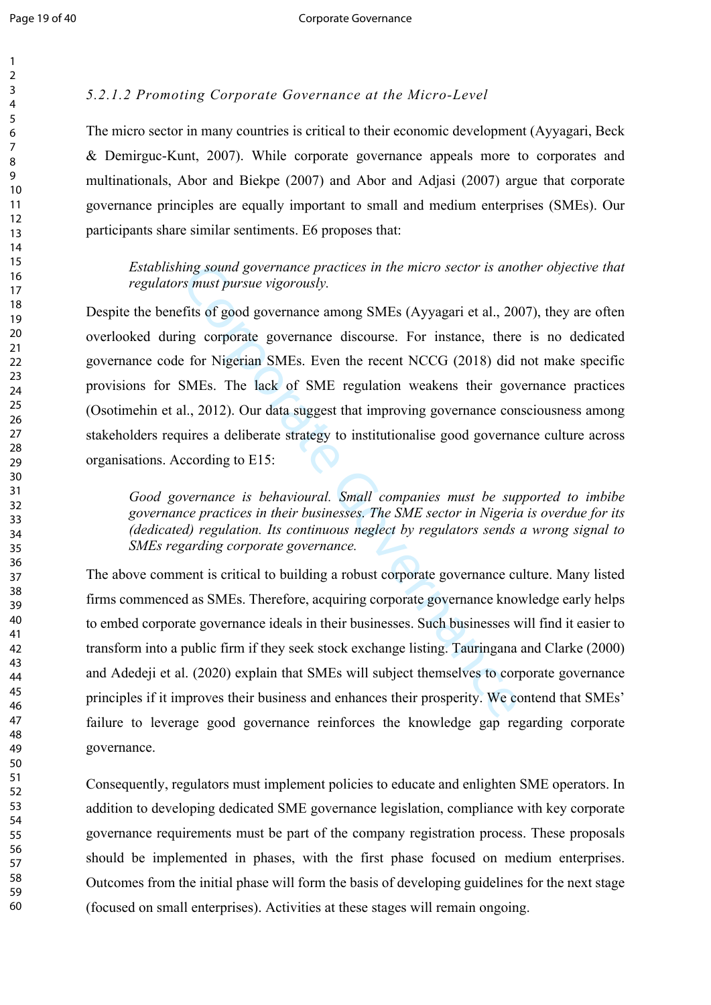# *5.2.1.2 Promoting Corporate Governance at the Micro-Level*

The micro sector in many countries is critical to their economic development (Ayyagari, Beck & Demirguc-Kunt, 2007). While corporate governance appeals more to corporates and multinationals, Abor and Biekpe (2007) and Abor and Adjasi (2007) argue that corporate governance principles are equally important to small and medium enterprises (SMEs). Our participants share similar sentiments. E6 proposes that:

# *Establishing sound governance practices in the micro sector is another objective that regulators must pursue vigorously.*

ing sound governance practices in the micro sector is ano<br>
s must pursue vigorously.<br>
fits of good governance among SMEs (Ayyagari et al., 20<br>
ng corporate governance discourse. For instance, there<br>
<sup>1</sup> for Nigerian SMEs. Despite the benefits of good governance among SMEs (Ayyagari et al., 2007), they are often overlooked during corporate governance discourse. For instance, there is no dedicated governance code for Nigerian SMEs. Even the recent NCCG (2018) did not make specific provisions for SMEs. The lack of SME regulation weakens their governance practices (Osotimehin et al., 2012). Our data suggest that improving governance consciousness among stakeholders requires a deliberate strategy to institutionalise good governance culture across organisations. According to E15:

*Good governance is behavioural. Small companies must be supported to imbibe governance practices in their businesses. The SME sector in Nigeria is overdue for its (dedicated) regulation. Its continuous neglect by regulators sends a wrong signal to SMEs regarding corporate governance.* 

The above comment is critical to building a robust corporate governance culture. Many listed firms commenced as SMEs. Therefore, acquiring corporate governance knowledge early helps to embed corporate governance ideals in their businesses. Such businesses will find it easier to transform into a public firm if they seek stock exchange listing. Tauringana and Clarke (2000) and Adedeji et al. (2020) explain that SMEs will subject themselves to corporate governance principles if it improves their business and enhances their prosperity. We contend that SMEs' failure to leverage good governance reinforces the knowledge gap regarding corporate governance.

Consequently, regulators must implement policies to educate and enlighten SME operators. In addition to developing dedicated SME governance legislation, compliance with key corporate governance requirements must be part of the company registration process. These proposals should be implemented in phases, with the first phase focused on medium enterprises. Outcomes from the initial phase will form the basis of developing guidelines for the next stage (focused on small enterprises). Activities at these stages will remain ongoing.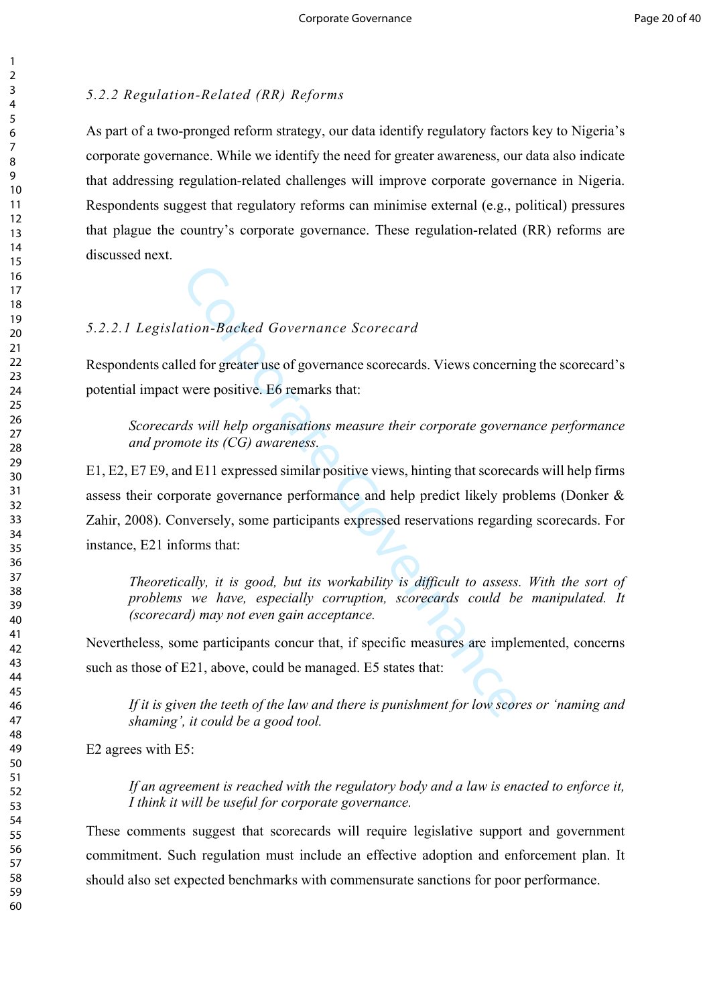## *5.2.2 Regulation-Related (RR) Reforms*

As part of a two-pronged reform strategy, our data identify regulatory factors key to Nigeria's corporate governance. While we identify the need for greater awareness, our data also indicate that addressing regulation-related challenges will improve corporate governance in Nigeria. Respondents suggest that regulatory reforms can minimise external (e.g., political) pressures that plague the country's corporate governance. These regulation-related (RR) reforms are discussed next.

## *5.2.2.1 Legislation-Backed Governance Scorecard*

Respondents called for greater use of governance scorecards. Views concerning the scorecard's potential impact were positive. E6 remarks that:

*Scorecards will help organisations measure their corporate governance performance and promote its (CG) awareness.* 

original tion-*Backed Governance Scorecard*<br>
ed for greater use of governance scorecards. Views concerni<br>
were positive. E6 remarks that:<br>
ds will help organisations measure their corporate govern<br>
original of CG) awarenes E1, E2, E7 E9, and E11 expressed similar positive views, hinting that scorecards will help firms assess their corporate governance performance and help predict likely problems (Donker & Zahir, 2008). Conversely, some participants expressed reservations regarding scorecards. For instance, E21 informs that:

*Theoretically, it is good, but its workability is difficult to assess. With the sort of problems we have, especially corruption, scorecards could be manipulated. It (scorecard) may not even gain acceptance.* 

Nevertheless, some participants concur that, if specific measures are implemented, concerns such as those of E21, above, could be managed. E5 states that:

*If it is given the teeth of the law and there is punishment for low scores or 'naming and shaming', it could be a good tool.*

E2 agrees with E5:

*If an agreement is reached with the regulatory body and a law is enacted to enforce it, I think it will be useful for corporate governance.*

These comments suggest that scorecards will require legislative support and government commitment. Such regulation must include an effective adoption and enforcement plan. It should also set expected benchmarks with commensurate sanctions for poor performance.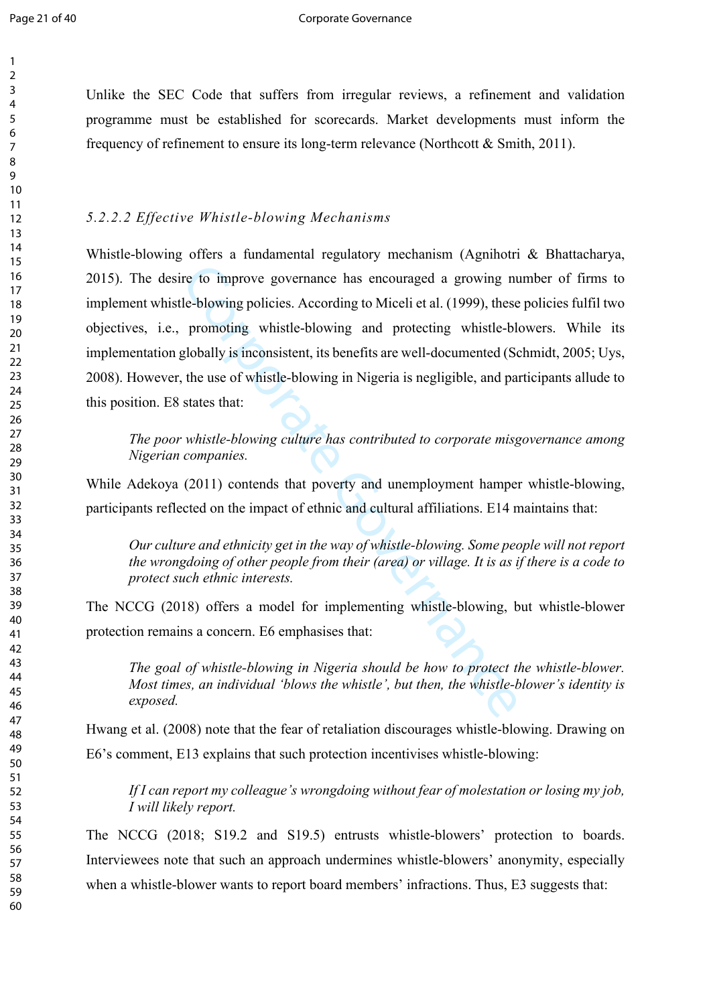Unlike the SEC Code that suffers from irregular reviews, a refinement and validation programme must be established for scorecards. Market developments must inform the frequency of refinement to ensure its long-term relevance (Northcott & Smith, 2011).

## *5.2.2.2 Effective Whistle-blowing Mechanisms*

re to improve governance has encouraged a growing nu<br>le-blowing policies. According to Miceli et al. (1999), these<br>promoting whistle-blowing and protecting whistle-ble<br>globally is inconsistent, its benefits are well-docume Whistle-blowing offers a fundamental regulatory mechanism (Agnihotri & Bhattacharya, 2015). The desire to improve governance has encouraged a growing number of firms to implement whistle-blowing policies. According to Miceli et al. (1999), these policies fulfil two objectives, i.e., promoting whistle-blowing and protecting whistle-blowers. While its implementation globally is inconsistent, its benefits are well-documented (Schmidt, 2005; Uys, 2008). However, the use of whistle-blowing in Nigeria is negligible, and participants allude to this position. E8 states that:

*The poor whistle-blowing culture has contributed to corporate misgovernance among Nigerian companies.* 

While Adekoya (2011) contends that poverty and unemployment hamper whistle-blowing, participants reflected on the impact of ethnic and cultural affiliations. E14 maintains that:

*Our culture and ethnicity get in the way of whistle-blowing. Some people will not report the wrongdoing of other people from their (area) or village. It is as if there is a code to protect such ethnic interests.* 

The NCCG (2018) offers a model for implementing whistle-blowing, but whistle-blower protection remains a concern. E6 emphasises that:

*The goal of whistle-blowing in Nigeria should be how to protect the whistle-blower. Most times, an individual 'blows the whistle', but then, the whistle-blower's identity is exposed.* 

Hwang et al. (2008) note that the fear of retaliation discourages whistle-blowing. Drawing on E6's comment, E13 explains that such protection incentivises whistle-blowing:

*If I can report my colleague's wrongdoing without fear of molestation or losing my job, I will likely report.* 

The NCCG (2018; S19.2 and S19.5) entrusts whistle-blowers' protection to boards. Interviewees note that such an approach undermines whistle-blowers' anonymity, especially when a whistle-blower wants to report board members' infractions. Thus, E3 suggests that: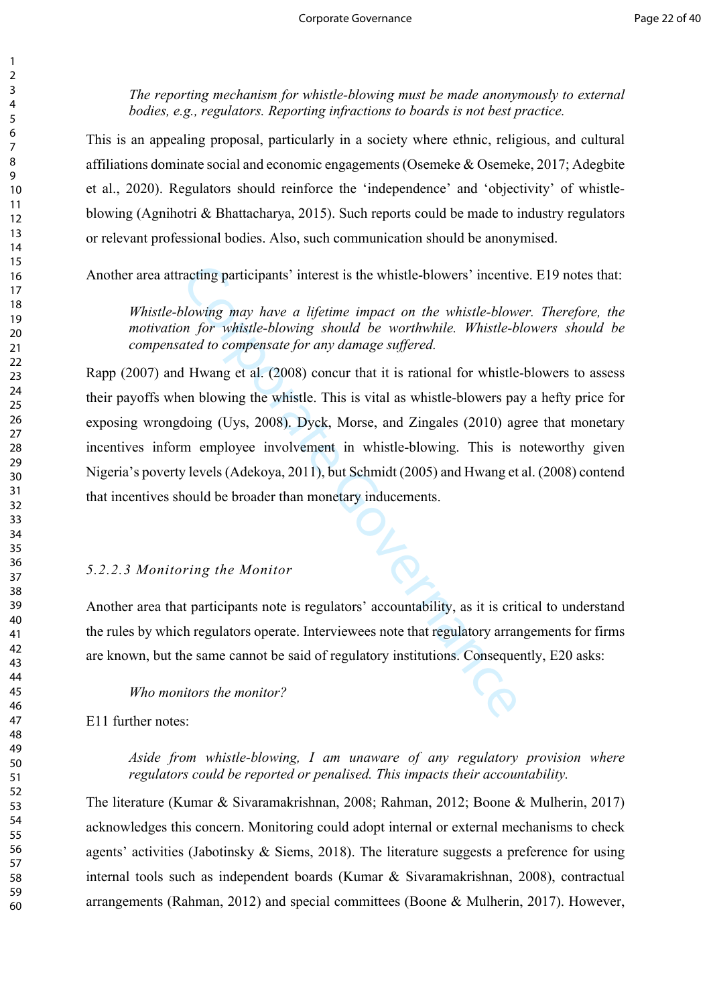*The reporting mechanism for whistle-blowing must be made anonymously to external bodies, e.g., regulators. Reporting infractions to boards is not best practice.*

This is an appealing proposal, particularly in a society where ethnic, religious, and cultural affiliations dominate social and economic engagements (Osemeke & Osemeke, 2017; Adegbite et al., 2020). Regulators should reinforce the 'independence' and 'objectivity' of whistleblowing (Agnihotri & Bhattacharya, 2015). Such reports could be made to industry regulators or relevant professional bodies. Also, such communication should be anonymised.

Another area attracting participants' interest is the whistle-blowers' incentive. E19 notes that:

*Whistle-blowing may have a lifetime impact on the whistle-blower. Therefore, the motivation for whistle-blowing should be worthwhile. Whistle-blowers should be compensated to compensate for any damage suffered.*

racting participants' interest is the whistle-blowers' incentive<br>
blowing may have a lifetime impact on the whistle-blow<br>
m for whistle-blowing should be worthwhile. Whistle-b<br>
ated to compensate for any damage suffered.<br> Rapp (2007) and Hwang et al. (2008) concur that it is rational for whistle-blowers to assess their payoffs when blowing the whistle. This is vital as whistle-blowers pay a hefty price for exposing wrongdoing (Uys, 2008). Dyck, Morse, and Zingales (2010) agree that monetary incentives inform employee involvement in whistle-blowing. This is noteworthy given Nigeria's poverty levels (Adekoya, 2011), but Schmidt (2005) and Hwang et al. (2008) contend that incentives should be broader than monetary inducements.

## *5.2.2.3 Monitoring the Monitor*

Another area that participants note is regulators' accountability, as it is critical to understand the rules by which regulators operate. Interviewees note that regulatory arrangements for firms are known, but the same cannot be said of regulatory institutions. Consequently, E20 asks:

*Who monitors the monitor?*

E11 further notes:

*Aside from whistle-blowing, I am unaware of any regulatory provision where regulators could be reported or penalised. This impacts their accountability.*

The literature (Kumar & Sivaramakrishnan, 2008; Rahman, 2012; Boone & Mulherin, 2017) acknowledges this concern. Monitoring could adopt internal or external mechanisms to check agents' activities (Jabotinsky & Siems, 2018). The literature suggests a preference for using internal tools such as independent boards (Kumar & Sivaramakrishnan, 2008), contractual arrangements (Rahman, 2012) and special committees (Boone & Mulherin, 2017). However,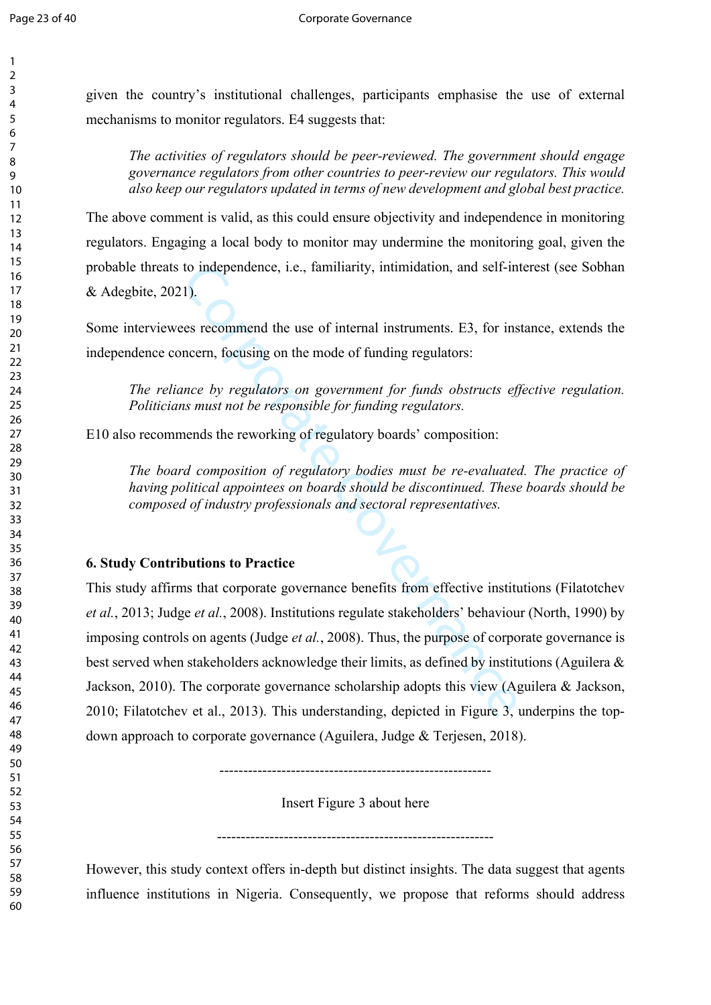given the country's institutional challenges, participants emphasise the use of external mechanisms to monitor regulators. E4 suggests that:

*The activities of regulators should be peer-reviewed. The government should engage governance regulators from other countries to peer-review our regulators. This would also keep our regulators updated in terms of new development and global best practice.*

The above comment is valid, as this could ensure objectivity and independence in monitoring regulators. Engaging a local body to monitor may undermine the monitoring goal, given the probable threats to independence, i.e., familiarity, intimidation, and self-interest (see Sobhan & Adegbite, 2021).

Some interviewees recommend the use of internal instruments. E3, for instance, extends the independence concern, focusing on the mode of funding regulators:

*The reliance by regulators on government for funds obstructs effective regulation. Politicians must not be responsible for funding regulators.* 

E10 also recommends the reworking of regulatory boards' composition:

*The board composition of regulatory bodies must be re-evaluated. The practice of having political appointees on boards should be discontinued. These boards should be composed of industry professionals and sectoral representatives.* 

### **6. Study Contributions to Practice**

to independence, i.e., familiarity, intimidation, and self-in<br>1).<br>2010<br>10. Exercement de use of internal instruments. E3, for ins<br>ncern, focusing on the mode of funding regulators:<br>2015 must not be responsible for funding This study affirms that corporate governance benefits from effective institutions (Filatotchev *et al.*, 2013; Judge *et al.*, 2008). Institutions regulate stakeholders' behaviour (North, 1990) by imposing controls on agents (Judge *et al.*, 2008). Thus, the purpose of corporate governance is best served when stakeholders acknowledge their limits, as defined by institutions (Aguilera & Jackson, 2010). The corporate governance scholarship adopts this view (Aguilera & Jackson, 2010; Filatotchev et al., 2013). This understanding, depicted in Figure 3, underpins the topdown approach to corporate governance (Aguilera, Judge & Terjesen, 2018).

---------------------------------------------------------

Insert Figure 3 about here

----------------------------------------------------------

However, this study context offers in-depth but distinct insights. The data suggest that agents influence institutions in Nigeria. Consequently, we propose that reforms should address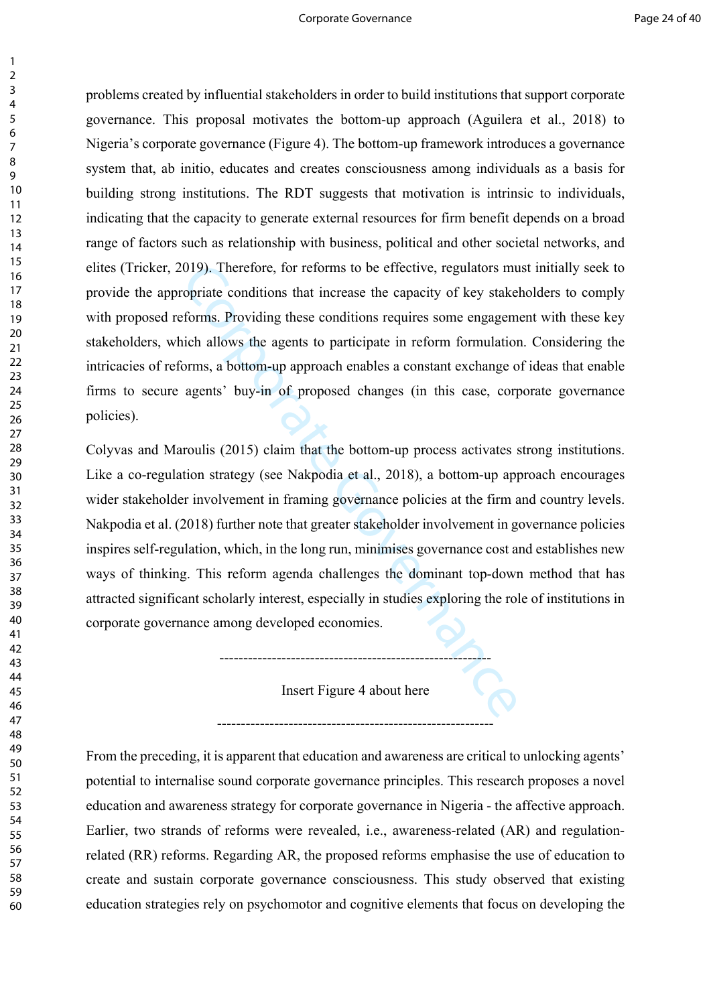problems created by influential stakeholders in order to build institutions that support corporate governance. This proposal motivates the bottom-up approach (Aguilera et al., 2018) to Nigeria's corporate governance (Figure 4). The bottom-up framework introduces a governance system that, ab initio, educates and creates consciousness among individuals as a basis for building strong institutions. The RDT suggests that motivation is intrinsic to individuals, indicating that the capacity to generate external resources for firm benefit depends on a broad range of factors such as relationship with business, political and other societal networks, and elites (Tricker, 2019). Therefore, for reforms to be effective, regulators must initially seek to provide the appropriate conditions that increase the capacity of key stakeholders to comply with proposed reforms. Providing these conditions requires some engagement with these key stakeholders, which allows the agents to participate in reform formulation. Considering the intricacies of reforms, a bottom-up approach enables a constant exchange of ideas that enable firms to secure agents' buy-in of proposed changes (in this case, corporate governance policies).

019). Therefore, for reforms to be effective, regulators mu<br>
opriate conditions that increase the capacity of key stakel<br>
forms. Providing these conditions requires some engagem<br>
inch allows the agents to participate in re Colyvas and Maroulis (2015) claim that the bottom-up process activates strong institutions. Like a co-regulation strategy (see Nakpodia et al., 2018), a bottom-up approach encourages wider stakeholder involvement in framing governance policies at the firm and country levels. Nakpodia et al. (2018) further note that greater stakeholder involvement in governance policies inspires self-regulation, which, in the long run, minimises governance cost and establishes new ways of thinking. This reform agenda challenges the dominant top-down method that has attracted significant scholarly interest, especially in studies exploring the role of institutions in corporate governance among developed economies.

Insert Figure 4 about here

----------------------------------------------------------

---------------------------------------------------------

From the preceding, it is apparent that education and awareness are critical to unlocking agents' potential to internalise sound corporate governance principles. This research proposes a novel education and awareness strategy for corporate governance in Nigeria - the affective approach. Earlier, two strands of reforms were revealed, i.e., awareness-related (AR) and regulationrelated (RR) reforms. Regarding AR, the proposed reforms emphasise the use of education to create and sustain corporate governance consciousness. This study observed that existing education strategies rely on psychomotor and cognitive elements that focus on developing the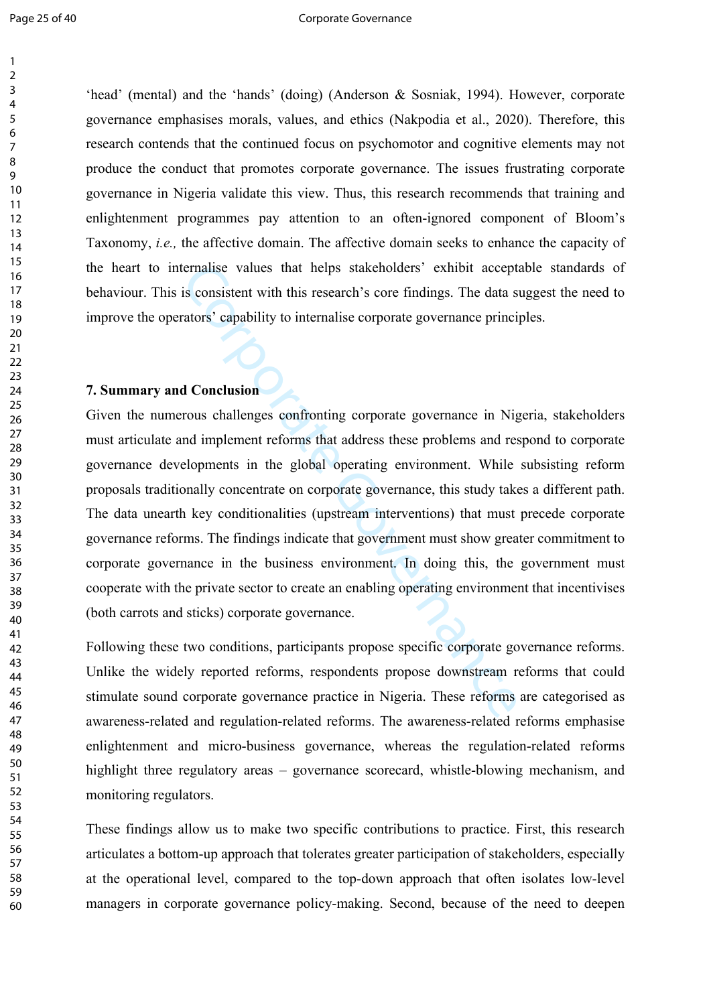'head' (mental) and the 'hands' (doing) (Anderson & Sosniak, 1994). However, corporate governance emphasises morals, values, and ethics (Nakpodia et al., 2020). Therefore, this research contends that the continued focus on psychomotor and cognitive elements may not produce the conduct that promotes corporate governance. The issues frustrating corporate governance in Nigeria validate this view. Thus, this research recommends that training and enlightenment programmes pay attention to an often-ignored component of Bloom's Taxonomy, *i.e.,* the affective domain. The affective domain seeks to enhance the capacity of the heart to internalise values that helps stakeholders' exhibit acceptable standards of behaviour. This is consistent with this research's core findings. The data suggest the need to improve the operators' capability to internalise corporate governance principles.

# **7. Summary and Conclusion**

ternalise values that helps stakeholders' exhibit accept<br>is consistent with this research's core findings. The data stators' capability to internalise corporate governance princip<br>ators' capability to internalise corporate Given the numerous challenges confronting corporate governance in Nigeria, stakeholders must articulate and implement reforms that address these problems and respond to corporate governance developments in the global operating environment. While subsisting reform proposals traditionally concentrate on corporate governance, this study takes a different path. The data unearth key conditionalities (upstream interventions) that must precede corporate governance reforms. The findings indicate that government must show greater commitment to corporate governance in the business environment. In doing this, the government must cooperate with the private sector to create an enabling operating environment that incentivises (both carrots and sticks) corporate governance.

Following these two conditions, participants propose specific corporate governance reforms. Unlike the widely reported reforms, respondents propose downstream reforms that could stimulate sound corporate governance practice in Nigeria. These reforms are categorised as awareness-related and regulation-related reforms. The awareness-related reforms emphasise enlightenment and micro-business governance, whereas the regulation-related reforms highlight three regulatory areas – governance scorecard, whistle-blowing mechanism, and monitoring regulators.

These findings allow us to make two specific contributions to practice. First, this research articulates a bottom-up approach that tolerates greater participation of stakeholders, especially at the operational level, compared to the top-down approach that often isolates low-level managers in corporate governance policy-making. Second, because of the need to deepen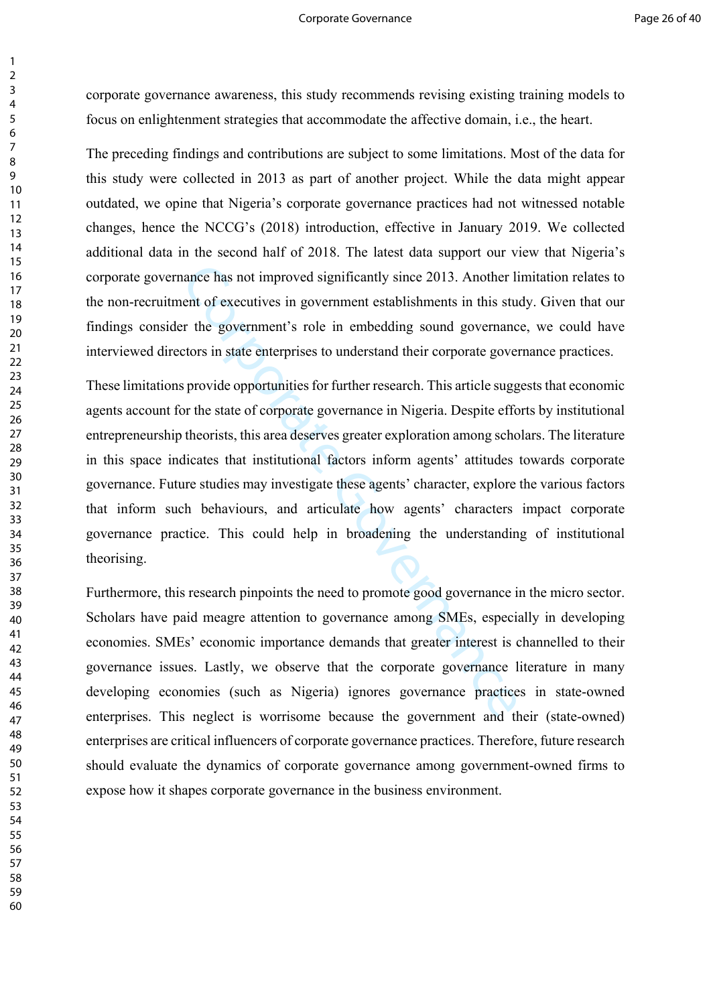### Corporate Governance **Page 26 of 40**

corporate governance awareness, this study recommends revising existing training models to focus on enlightenment strategies that accommodate the affective domain, i.e., the heart.

The preceding findings and contributions are subject to some limitations. Most of the data for this study were collected in 2013 as part of another project. While the data might appear outdated, we opine that Nigeria's corporate governance practices had not witnessed notable changes, hence the NCCG's (2018) introduction, effective in January 2019. We collected additional data in the second half of 2018. The latest data support our view that Nigeria's corporate governance has not improved significantly since 2013. Another limitation relates to the non-recruitment of executives in government establishments in this study. Given that our findings consider the government's role in embedding sound governance, we could have interviewed directors in state enterprises to understand their corporate governance practices.

nance has not improved significantly since 2013. Another livent of executives in government establishments in this student of executives in government establishments in this student of the government's role in embedding so These limitations provide opportunities for further research. This article suggests that economic agents account for the state of corporate governance in Nigeria. Despite efforts by institutional entrepreneurship theorists, this area deserves greater exploration among scholars. The literature in this space indicates that institutional factors inform agents' attitudes towards corporate governance. Future studies may investigate these agents' character, explore the various factors that inform such behaviours, and articulate how agents' characters impact corporate governance practice. This could help in broadening the understanding of institutional theorising.

Furthermore, this research pinpoints the need to promote good governance in the micro sector. Scholars have paid meagre attention to governance among SMEs, especially in developing economies. SMEs' economic importance demands that greater interest is channelled to their governance issues. Lastly, we observe that the corporate governance literature in many developing economies (such as Nigeria) ignores governance practices in state-owned enterprises. This neglect is worrisome because the government and their (state-owned) enterprises are critical influencers of corporate governance practices. Therefore, future research should evaluate the dynamics of corporate governance among government-owned firms to expose how it shapes corporate governance in the business environment.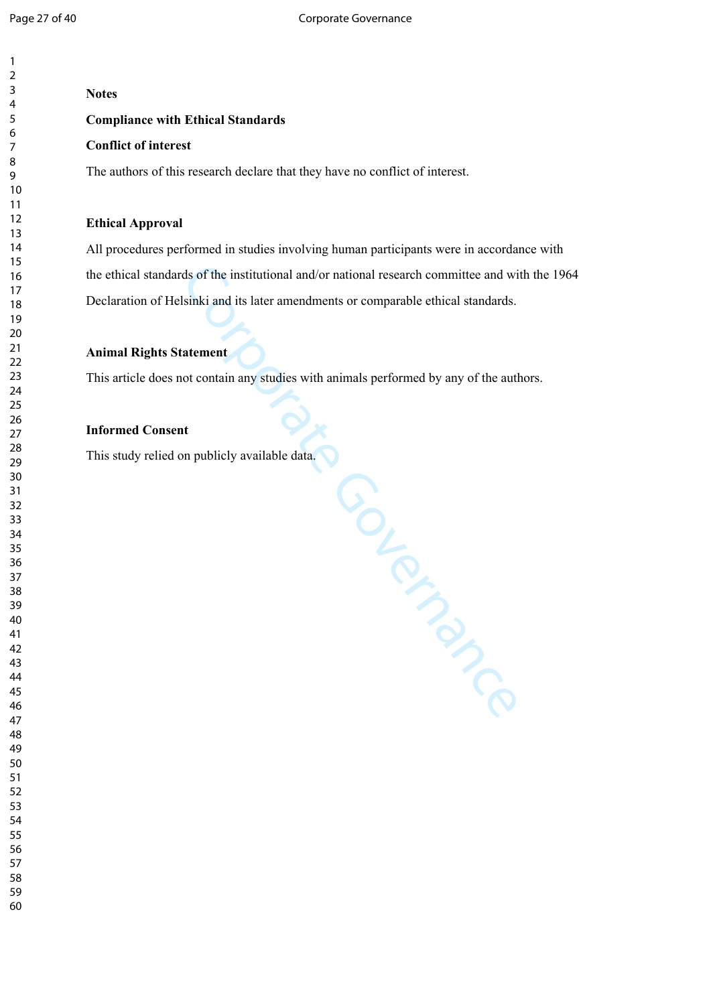### **Notes**

### **Compliance with Ethical Standards**

### **Conflict of interest**

The authors of this research declare that they have no conflict of interest.

### **Ethical Approval**

All procedures performed in studies involving human participants were in accordance with the ethical standards of the institutional and/or national research committee and with the 1964 Declaration of Helsinki and its later amendments or comparable ethical standards.

### **Animal Rights Statement**

This article does not contain any studies with animals performed by any of the authors.

### **Informed Consent**

Corporation This study relied on publicly available data.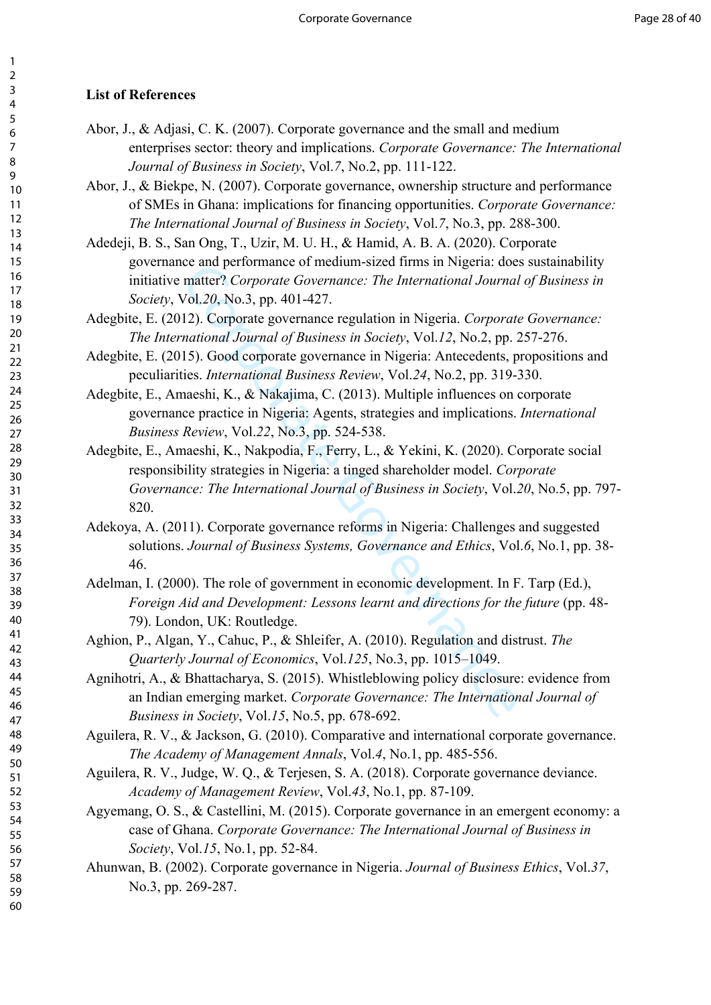### **List of References**

- Abor, J., & Adjasi, C. K. (2007). Corporate governance and the small and medium enterprises sector: theory and implications. *Corporate Governance: The International Journal of Business in Society*, Vol.*7*, No.2, pp. 111-122.
- Abor, J., & Biekpe, N. (2007). Corporate governance, ownership structure and performance of SMEs in Ghana: implications for financing opportunities. *Corporate Governance: The International Journal of Business in Society*, Vol.*7*, No.3, pp. 288-300.
- Adedeji, B. S., San Ong, T., Uzir, M. U. H., & Hamid, A. B. A. (2020). Corporate governance and performance of medium-sized firms in Nigeria: does sustainability initiative matter? *Corporate Governance: The International Journal of Business in Society*, Vol.*20*, No.3, pp. 401-427.
- Adegbite, E. (2012). Corporate governance regulation in Nigeria. *Corporate Governance: The International Journal of Business in Society*, Vol.*12*, No.2, pp. 257-276.
- Adegbite, E. (2015). Good corporate governance in Nigeria: Antecedents, propositions and peculiarities. *International Business Review*, Vol.*24*, No.2, pp. 319-330.
- Adegbite, E., Amaeshi, K., & Nakajima, C. (2013). Multiple influences on corporate governance practice in Nigeria: Agents, strategies and implications. *International Business Review*, Vol.*22*, No.3, pp. 524-538.
- ice and periorinance of ineutual-sized firms in Nigeria, does<br>matter? Corporate Governance: The International Journal<br>Vol.20, No.3, pp. 401-427.<br>The International Journal of Business in Society, Vol.12, No.2, pp. 2<br>15). Go Adegbite, E., Amaeshi, K., Nakpodia, F., Ferry, L., & Yekini, K. (2020). Corporate social responsibility strategies in Nigeria: a tinged shareholder model. *Corporate Governance: The International Journal of Business in Society*, Vol.*20*, No.5, pp. 797- 820.
- Adekoya, A. (2011). Corporate governance reforms in Nigeria: Challenges and suggested solutions. *Journal of Business Systems, Governance and Ethics*, Vol.*6*, No.1, pp. 38- 46.
- Adelman, I. (2000). The role of government in economic development. In F. Tarp (Ed.), *Foreign Aid and Development: Lessons learnt and directions for the future* (pp. 48-79). London, UK: Routledge.
- Aghion, P., Algan, Y., Cahuc, P., & Shleifer, A. (2010). Regulation and distrust. *The Quarterly Journal of Economics*, Vol.*125*, No.3, pp. 1015–1049.
- Agnihotri, A., & Bhattacharya, S. (2015). Whistleblowing policy disclosure: evidence from an Indian emerging market. *Corporate Governance: The International Journal of Business in Society*, Vol.*15*, No.5, pp. 678-692.
- Aguilera, R. V., & Jackson, G. (2010). Comparative and international corporate governance. *The Academy of Management Annals*, Vol.*4*, No.1, pp. 485-556.
- Aguilera, R. V., Judge, W. Q., & Terjesen, S. A. (2018). Corporate governance deviance. *Academy of Management Review*, Vol.*43*, No.1, pp. 87-109.
- Agyemang, O. S., & Castellini, M. (2015). Corporate governance in an emergent economy: a case of Ghana. *Corporate Governance: The International Journal of Business in Society*, Vol.*15*, No.1, pp. 52-84.
- Ahunwan, B. (2002). Corporate governance in Nigeria. *Journal of Business Ethics*, Vol.*37*, No.3, pp. 269-287.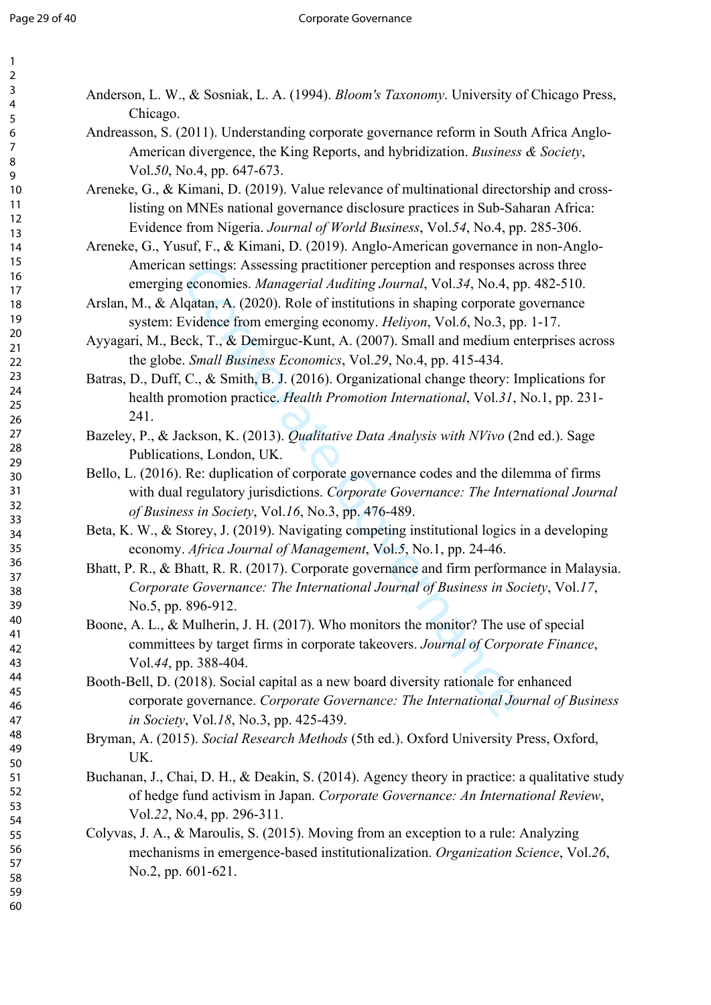|      | Anderson, L. W., & Sosniak, L. A. (1994). Bloom's Taxonomy. University of Chicago Press,<br>Chicago.                                                                                                                                                                                                                                   |
|------|----------------------------------------------------------------------------------------------------------------------------------------------------------------------------------------------------------------------------------------------------------------------------------------------------------------------------------------|
|      | Andreasson, S. (2011). Understanding corporate governance reform in South Africa Anglo-<br>American divergence, the King Reports, and hybridization. Business & Society,<br>Vol.50, No.4, pp. 647-673.                                                                                                                                 |
|      | Areneke, G., & Kimani, D. (2019). Value relevance of multinational directorship and cross-<br>listing on MNEs national governance disclosure practices in Sub-Saharan Africa:                                                                                                                                                          |
|      | Evidence from Nigeria. Journal of World Business, Vol.54, No.4, pp. 285-306.<br>Areneke, G., Yusuf, F., & Kimani, D. (2019). Anglo-American governance in non-Anglo-<br>American settings: Assessing practitioner perception and responses across three<br>emerging economies. Managerial Auditing Journal, Vol.34, No.4, pp. 482-510. |
|      | Arslan, M., & Alqatan, A. (2020). Role of institutions in shaping corporate governance<br>system: Evidence from emerging economy. Heliyon, Vol.6, No.3, pp. 1-17.                                                                                                                                                                      |
|      | Ayyagari, M., Beck, T., & Demirguc-Kunt, A. (2007). Small and medium enterprises across<br>the globe. Small Business Economics, Vol.29, No.4, pp. 415-434.                                                                                                                                                                             |
| 241. | Batras, D., Duff, C., & Smith, B. J. (2016). Organizational change theory: Implications for<br>health promotion practice. Health Promotion International, Vol.31, No.1, pp. 231-                                                                                                                                                       |
|      | Bazeley, P., & Jackson, K. (2013). Qualitative Data Analysis with NVivo (2nd ed.). Sage<br>Publications, London, UK.                                                                                                                                                                                                                   |
|      | Bello, L. (2016). Re: duplication of corporate governance codes and the dilemma of firms<br>with dual regulatory jurisdictions. Corporate Governance: The International Journal<br>of Business in Society, Vol.16, No.3, pp. 476-489.                                                                                                  |
|      | Beta, K. W., & Storey, J. (2019). Navigating competing institutional logics in a developing<br>economy. Africa Journal of Management, Vol.5, No.1, pp. 24-46.                                                                                                                                                                          |
|      | Bhatt, P. R., & Bhatt, R. R. (2017). Corporate governance and firm performance in Malaysia.<br>Corporate Governance: The International Journal of Business in Society, Vol.17,<br>No.5, pp. 896-912.                                                                                                                                   |
|      | Boone, A. L., & Mulherin, J. H. (2017). Who monitors the monitor? The use of special<br>committees by target firms in corporate takeovers. Journal of Corporate Finance,<br>Vol.44, pp. 388-404.                                                                                                                                       |
|      | Booth-Bell, D. (2018). Social capital as a new board diversity rationale for enhanced<br>corporate governance. Corporate Governance: The International Journal of Business<br>in Society, Vol.18, No.3, pp. 425-439.                                                                                                                   |
| UK.  | Bryman, A. (2015). Social Research Methods (5th ed.). Oxford University Press, Oxford,                                                                                                                                                                                                                                                 |
|      | Buchanan, J., Chai, D. H., & Deakin, S. (2014). Agency theory in practice: a qualitative study<br>of hedge fund activism in Japan. Corporate Governance: An International Review,<br>Vol.22, No.4, pp. 296-311.                                                                                                                        |
|      | Colyvas, J. A., & Maroulis, S. (2015). Moving from an exception to a rule: Analyzing<br>mechanisms in emergence-based institutionalization. Organization Science, Vol.26,<br>No.2, pp. 601-621.                                                                                                                                        |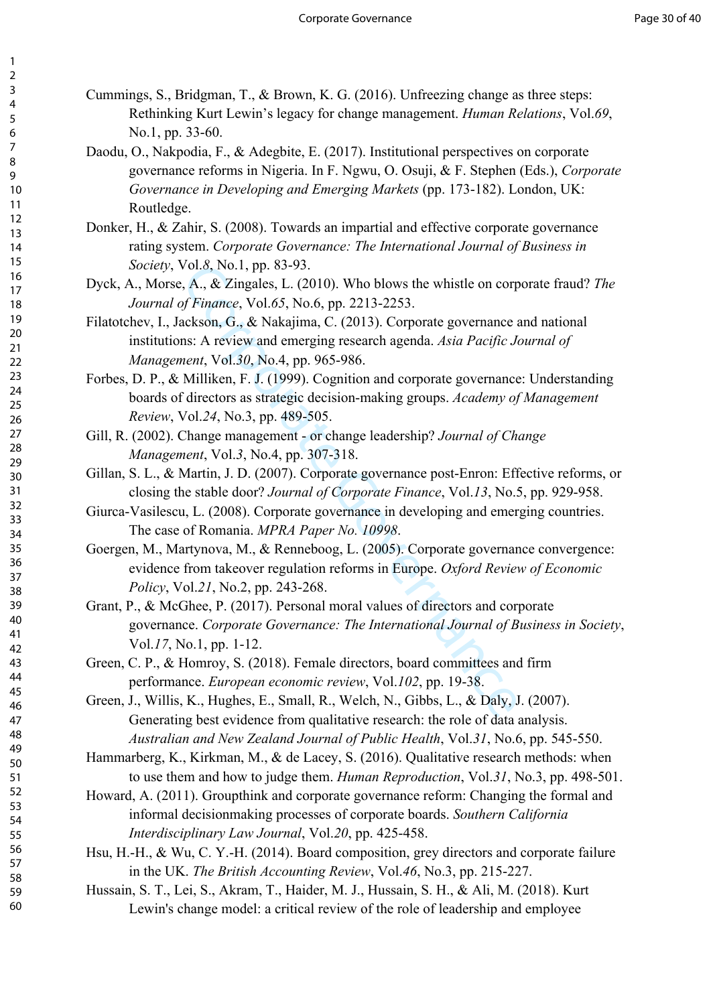- Cummings, S., Bridgman, T., & Brown, K. G. (2016). Unfreezing change as three steps: Rethinking Kurt Lewin's legacy for change management. *Human Relations*, Vol.*69*, No.1, pp. 33-60.
- Daodu, O., Nakpodia, F., & Adegbite, E. (2017). Institutional perspectives on corporate governance reforms in Nigeria. In F. Ngwu, O. Osuji, & F. Stephen (Eds.), *Corporate Governance in Developing and Emerging Markets* (pp. 173-182). London, UK: Routledge.
- Donker, H., & Zahir, S. (2008). Towards an impartial and effective corporate governance rating system. *Corporate Governance: The International Journal of Business in Society*, Vol.*8*, No.1, pp. 83-93.
- Dyck, A., Morse, A., & Zingales, L. (2010). Who blows the whistle on corporate fraud? *The Journal of Finance*, Vol.*65*, No.6, pp. 2213-2253.
- Filatotchev, I., Jackson, G., & Nakajima, C. (2013). Corporate governance and national institutions: A review and emerging research agenda. *Asia Pacific Journal of Management*, Vol.*30*, No.4, pp. 965-986.
- Vol.8, No.1, pp. 83-93.<br>
(A., & Zingales, L. (2010). Who blows the whistle on corp<br>  $f$ Finance, Vol.65, No.6, pp. 2213-2253.<br>
Eackson, G., & Nakajima, C. (2013). Corporate governance accoson, G., & Nakajima, C. (2013). Co Forbes, D. P., & Milliken, F. J. (1999). Cognition and corporate governance: Understanding boards of directors as strategic decision-making groups. *Academy of Management Review*, Vol.*24*, No.3, pp. 489-505.
- Gill, R. (2002). Change management or change leadership? *Journal of Change Management*, Vol.*3*, No.4, pp. 307-318.
- Gillan, S. L., & Martin, J. D. (2007). Corporate governance post-Enron: Effective reforms, or closing the stable door? *Journal of Corporate Finance*, Vol.*13*, No.5, pp. 929-958.
- Giurca-Vasilescu, L. (2008). Corporate governance in developing and emerging countries. The case of Romania. *MPRA Paper No. 10998*.
- Goergen, M., Martynova, M., & Renneboog, L. (2005). Corporate governance convergence: evidence from takeover regulation reforms in Europe. *Oxford Review of Economic Policy*, Vol.*21*, No.2, pp. 243-268.
- Grant, P., & McGhee, P. (2017). Personal moral values of directors and corporate governance. *Corporate Governance: The International Journal of Business in Society*, Vol.*17*, No.1, pp. 1-12.
- Green, C. P., & Homroy, S. (2018). Female directors, board committees and firm performance. *European economic review*, Vol.*102*, pp. 19-38.
- Green, J., Willis, K., Hughes, E., Small, R., Welch, N., Gibbs, L., & Daly, J. (2007). Generating best evidence from qualitative research: the role of data analysis. *Australian and New Zealand Journal of Public Health*, Vol.*31*, No.6, pp. 545-550.
- Hammarberg, K., Kirkman, M., & de Lacey, S. (2016). Qualitative research methods: when to use them and how to judge them. *Human Reproduction*, Vol.*31*, No.3, pp. 498-501.
- Howard, A. (2011). Groupthink and corporate governance reform: Changing the formal and informal decisionmaking processes of corporate boards. *Southern California Interdisciplinary Law Journal*, Vol.*20*, pp. 425-458.
- Hsu, H.-H., & Wu, C. Y.-H. (2014). Board composition, grey directors and corporate failure in the UK. *The British Accounting Review*, Vol.*46*, No.3, pp. 215-227.
- Hussain, S. T., Lei, S., Akram, T., Haider, M. J., Hussain, S. H., & Ali, M. (2018). Kurt Lewin's change model: a critical review of the role of leadership and employee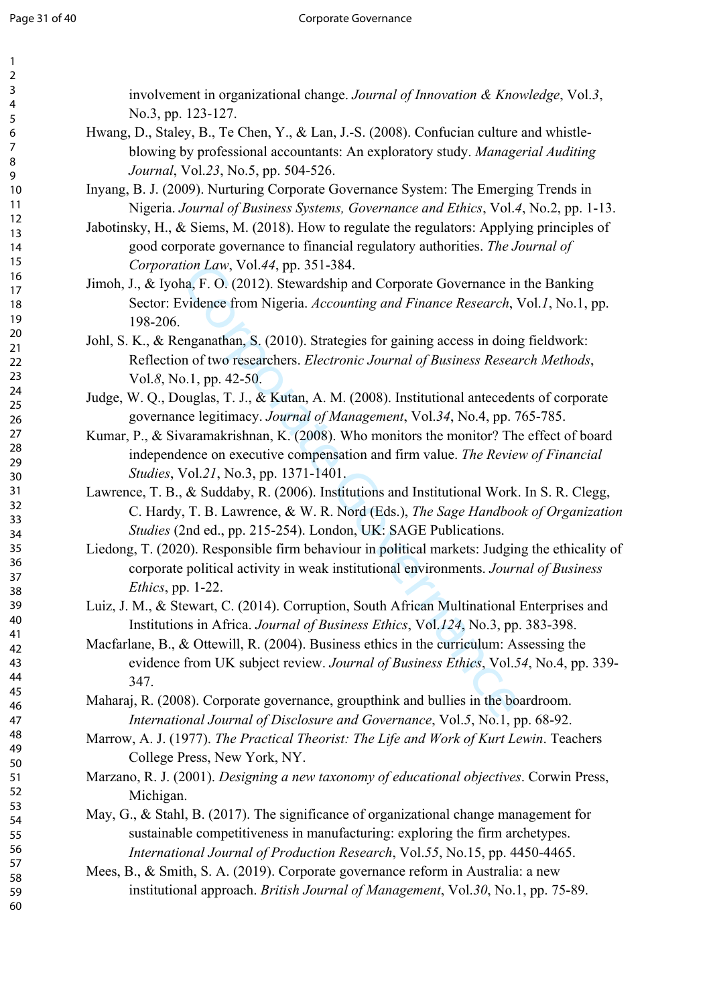| involvement in organizational change. Journal of Innovation & Knowledge, Vol.3,<br>No.3, pp. 123-127.                                                                                                                                                                    |
|--------------------------------------------------------------------------------------------------------------------------------------------------------------------------------------------------------------------------------------------------------------------------|
| Hwang, D., Staley, B., Te Chen, Y., & Lan, J.-S. (2008). Confucian culture and whistle-                                                                                                                                                                                  |
| blowing by professional accountants: An exploratory study. Managerial Auditing<br><i>Journal</i> , Vol.23, No.5, pp. 504-526.                                                                                                                                            |
| Inyang, B. J. (2009). Nurturing Corporate Governance System: The Emerging Trends in<br>Nigeria. Journal of Business Systems, Governance and Ethics, Vol.4, No.2, pp. 1-13.<br>Jabotinsky, H., & Siems, M. (2018). How to regulate the regulators: Applying principles of |
| good corporate governance to financial regulatory authorities. The Journal of<br>Corporation Law, Vol.44, pp. 351-384.                                                                                                                                                   |
| Jimoh, J., & Iyoha, F. O. (2012). Stewardship and Corporate Governance in the Banking<br>Sector: Evidence from Nigeria. Accounting and Finance Research, Vol.1, No.1, pp.<br>198-206.                                                                                    |
| Johl, S. K., & Renganathan, S. (2010). Strategies for gaining access in doing fieldwork:                                                                                                                                                                                 |
| Reflection of two researchers. Electronic Journal of Business Research Methods,<br>Vol.8, No.1, pp. 42-50.                                                                                                                                                               |
| Judge, W. Q., Douglas, T. J., & Kutan, A. M. (2008). Institutional antecedents of corporate<br>governance legitimacy. Journal of Management, Vol.34, No.4, pp. 765-785.                                                                                                  |
| Kumar, P., & Sivaramakrishnan, K. (2008). Who monitors the monitor? The effect of board<br>independence on executive compensation and firm value. The Review of Financial                                                                                                |
| Studies, Vol.21, No.3, pp. 1371-1401.                                                                                                                                                                                                                                    |
| Lawrence, T. B., & Suddaby, R. (2006). Institutions and Institutional Work. In S. R. Clegg,                                                                                                                                                                              |
| C. Hardy, T. B. Lawrence, & W. R. Nord (Eds.), The Sage Handbook of Organization<br>Studies (2nd ed., pp. 215-254). London, UK: SAGE Publications.                                                                                                                       |
| Liedong, T. (2020). Responsible firm behaviour in political markets: Judging the ethicality of<br>corporate political activity in weak institutional environments. Journal of Business                                                                                   |
| Ethics, pp. $1-22$ .                                                                                                                                                                                                                                                     |
| Luiz, J. M., & Stewart, C. (2014). Corruption, South African Multinational Enterprises and<br>Institutions in Africa. Journal of Business Ethics, Vol.124, No.3, pp. 383-398.                                                                                            |
| Macfarlane, B., & Ottewill, R. (2004). Business ethics in the curriculum: Assessing the<br>evidence from UK subject review. Journal of Business Ethics, Vol.54, No.4, pp. 339-<br>347.                                                                                   |
| Maharaj, R. (2008). Corporate governance, groupthink and bullies in the boardroom.<br>International Journal of Disclosure and Governance, Vol.5, No.1, pp. 68-92.                                                                                                        |
| Marrow, A. J. (1977). The Practical Theorist: The Life and Work of Kurt Lewin. Teachers<br>College Press, New York, NY.                                                                                                                                                  |
| Marzano, R. J. (2001). Designing a new taxonomy of educational objectives. Corwin Press,<br>Michigan.                                                                                                                                                                    |
| May, G., & Stahl, B. (2017). The significance of organizational change management for<br>sustainable competitiveness in manufacturing: exploring the firm archetypes.<br>International Journal of Production Research, Vol.55, No.15, pp. 4450-4465.                     |
| Mees, B., & Smith, S. A. (2019). Corporate governance reform in Australia: a new                                                                                                                                                                                         |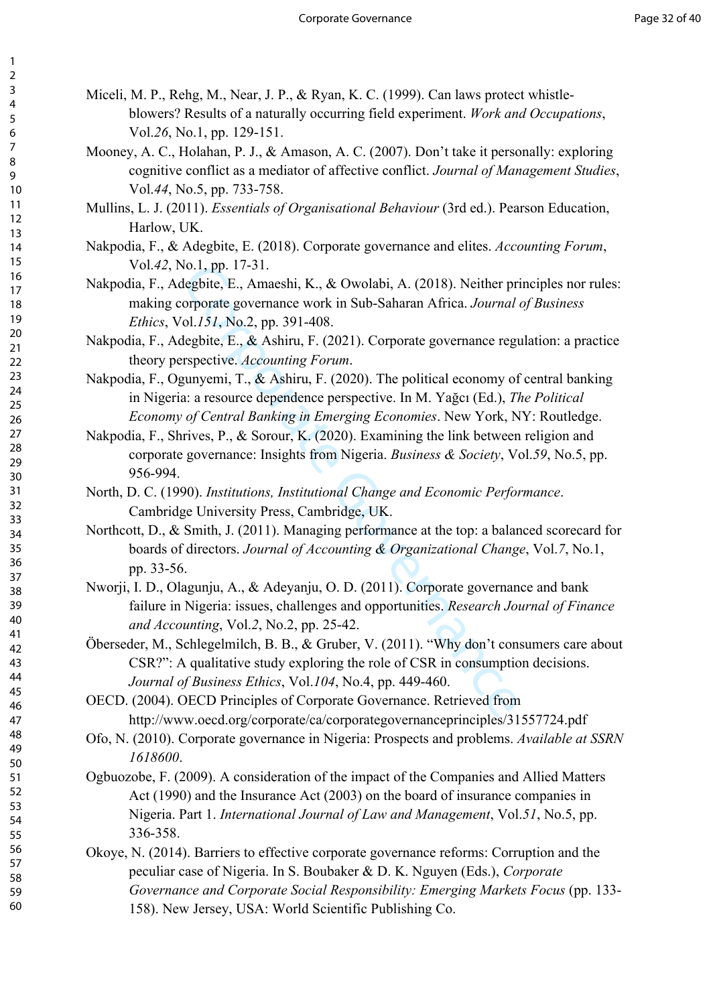- Miceli, M. P., Rehg, M., Near, J. P., & Ryan, K. C. (1999). Can laws protect whistleblowers? Results of a naturally occurring field experiment. *Work and Occupations*, Vol.*26*, No.1, pp. 129-151.
- Mooney, A. C., Holahan, P. J., & Amason, A. C. (2007). Don't take it personally: exploring cognitive conflict as a mediator of affective conflict. *Journal of Management Studies*, Vol.*44*, No.5, pp. 733-758.
- Mullins, L. J. (2011). *Essentials of Organisational Behaviour* (3rd ed.). Pearson Education, Harlow, UK.
- Nakpodia, F., & Adegbite, E. (2018). Corporate governance and elites. *Accounting Forum*, Vol.*42*, No.1, pp. 17-31.
- Nakpodia, F., Adegbite, E., Amaeshi, K., & Owolabi, A. (2018). Neither principles nor rules: making corporate governance work in Sub-Saharan Africa. *Journal of Business Ethics*, Vol.*151*, No.2, pp. 391-408.
- Nakpodia, F., Adegbite, E., & Ashiru, F. (2021). Corporate governance regulation: a practice theory perspective. *Accounting Forum*.
- No.1, pp. 17-31.<br>
degbite, E., Amaeshi, K., & Owolabi, A. (2018). Neither prorate governance work in Sub-Saharan Africa. *Journal*<br>
olt J51, No.2, pp. 391-408.<br>
degbite, E., & Ashiru, F. (2021). Corporate governance regue Nakpodia, F., Ogunyemi, T., & Ashiru, F. (2020). The political economy of central banking in Nigeria: a resource dependence perspective. In M. Yağcı (Ed.), *The Political Economy of Central Banking in Emerging Economies*. New York, NY: Routledge.
- Nakpodia, F., Shrives, P., & Sorour, K. (2020). Examining the link between religion and corporate governance: Insights from Nigeria. *Business & Society*, Vol.*59*, No.5, pp. 956-994.
- North, D. C. (1990). *Institutions, Institutional Change and Economic Performance*. Cambridge University Press, Cambridge, UK.
- Northcott, D., & Smith, J. (2011). Managing performance at the top: a balanced scorecard for boards of directors. *Journal of Accounting & Organizational Change*, Vol.*7*, No.1, pp. 33-56.
- Nworji, I. D., Olagunju, A., & Adeyanju, O. D. (2011). Corporate governance and bank failure in Nigeria: issues, challenges and opportunities. *Research Journal of Finance and Accounting*, Vol.*2*, No.2, pp. 25-42.
- Öberseder, M., Schlegelmilch, B. B., & Gruber, V. (2011). "Why don't consumers care about CSR?": A qualitative study exploring the role of CSR in consumption decisions. *Journal of Business Ethics*, Vol.*104*, No.4, pp. 449-460.
- OECD. (2004). OECD Principles of Corporate Governance. Retrieved from http://www.oecd.org/corporate/ca/corporategovernanceprinciples/31557724.pdf
- Ofo, N. (2010). Corporate governance in Nigeria: Prospects and problems. *Available at SSRN 1618600*.
- Ogbuozobe, F. (2009). A consideration of the impact of the Companies and Allied Matters Act (1990) and the Insurance Act (2003) on the board of insurance companies in Nigeria. Part 1. *International Journal of Law and Management*, Vol.*51*, No.5, pp. 336-358.
- Okoye, N. (2014). Barriers to effective corporate governance reforms: Corruption and the peculiar case of Nigeria. In S. Boubaker & D. K. Nguyen (Eds.), *Corporate Governance and Corporate Social Responsibility: Emerging Markets Focus* (pp. 133- 158). New Jersey, USA: World Scientific Publishing Co.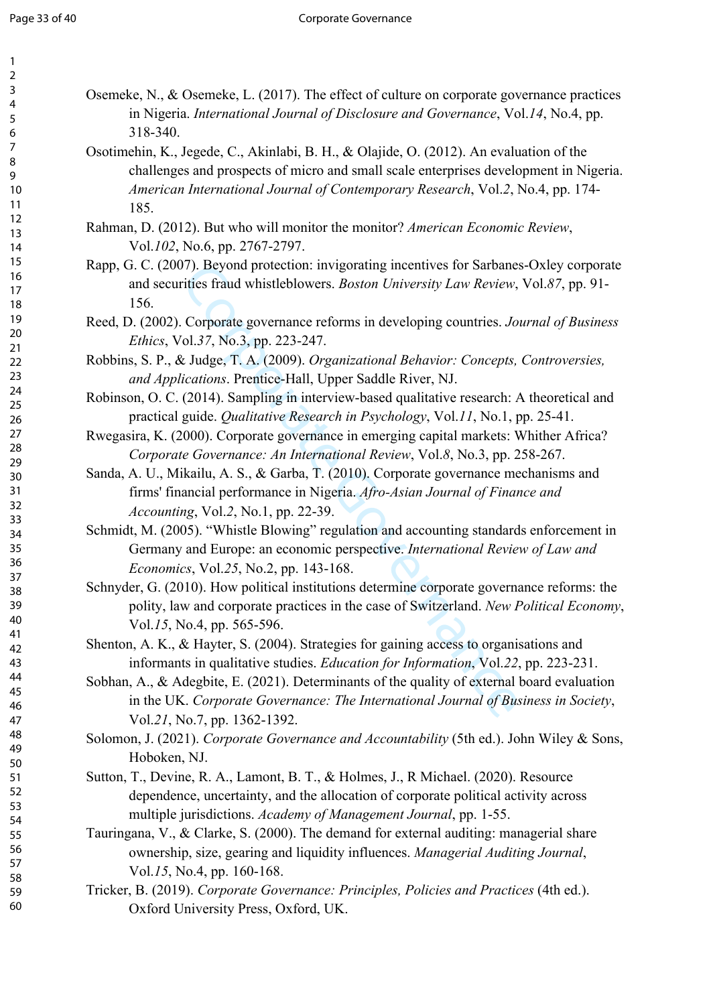- Osemeke, N., & Osemeke, L. (2017). The effect of culture on corporate governance practices in Nigeria. *International Journal of Disclosure and Governance*, Vol.*14*, No.4, pp. 318-340.
- Osotimehin, K., Jegede, C., Akinlabi, B. H., & Olajide, O. (2012). An evaluation of the challenges and prospects of micro and small scale enterprises development in Nigeria. *American International Journal of Contemporary Research*, Vol.*2*, No.4, pp. 174- 185.
- Rahman, D. (2012). But who will monitor the monitor? *American Economic Review*, Vol.*102*, No.6, pp. 2767-2797.
- Rapp, G. C. (2007). Beyond protection: invigorating incentives for Sarbanes-Oxley corporate and securities fraud whistleblowers. *Boston University Law Review*, Vol.*87*, pp. 91- 156.
- Reed, D. (2002). Corporate governance reforms in developing countries. *Journal of Business Ethics*, Vol.*37*, No.3, pp. 223-247.
- Robbins, S. P., & Judge, T. A. (2009). *Organizational Behavior: Concepts, Controversies, and Applications*. Prentice-Hall, Upper Saddle River, NJ.
- Robinson, O. C. (2014). Sampling in interview-based qualitative research: A theoretical and practical guide. *Qualitative Research in Psychology*, Vol.*11*, No.1, pp. 25-41.

Rwegasira, K. (2000). Corporate governance in emerging capital markets: Whither Africa? *Corporate Governance: An International Review*, Vol.*8*, No.3, pp. 258-267.

- 77). Beyond protection: invigorating incentives for Sarbane:<br>tities fraud whistleblowers. *Boston University Law Review*,<br>Corporate governance reforms in developing countries. *Jo*<br>0.137, No.3, pp. 223-247.<br>Laldge, T. A. Sanda, A. U., Mikailu, A. S., & Garba, T. (2010). Corporate governance mechanisms and firms' financial performance in Nigeria. *Afro-Asian Journal of Finance and Accounting*, Vol.*2*, No.1, pp. 22-39.
- Schmidt, M. (2005). "Whistle Blowing" regulation and accounting standards enforcement in Germany and Europe: an economic perspective. *International Review of Law and Economics*, Vol.*25*, No.2, pp. 143-168.
- Schnyder, G. (2010). How political institutions determine corporate governance reforms: the polity, law and corporate practices in the case of Switzerland. *New Political Economy*, Vol.*15*, No.4, pp. 565-596.
- Shenton, A. K., & Hayter, S. (2004). Strategies for gaining access to organisations and informants in qualitative studies. *Education for Information*, Vol.*22*, pp. 223-231.
- Sobhan, A., & Adegbite, E. (2021). Determinants of the quality of external board evaluation in the UK. *Corporate Governance: The International Journal of Business in Society*, Vol.*21*, No.7, pp. 1362-1392.

Solomon, J. (2021). *Corporate Governance and Accountability* (5th ed.). John Wiley & Sons, Hoboken, NJ.

- Sutton, T., Devine, R. A., Lamont, B. T., & Holmes, J., R Michael. (2020). Resource dependence, uncertainty, and the allocation of corporate political activity across multiple jurisdictions. *Academy of Management Journal*, pp. 1-55.
- Tauringana, V., & Clarke, S. (2000). The demand for external auditing: managerial share ownership, size, gearing and liquidity influences. *Managerial Auditing Journal*, Vol.*15*, No.4, pp. 160-168.
- Tricker, B. (2019). *Corporate Governance: Principles, Policies and Practices* (4th ed.). Oxford University Press, Oxford, UK.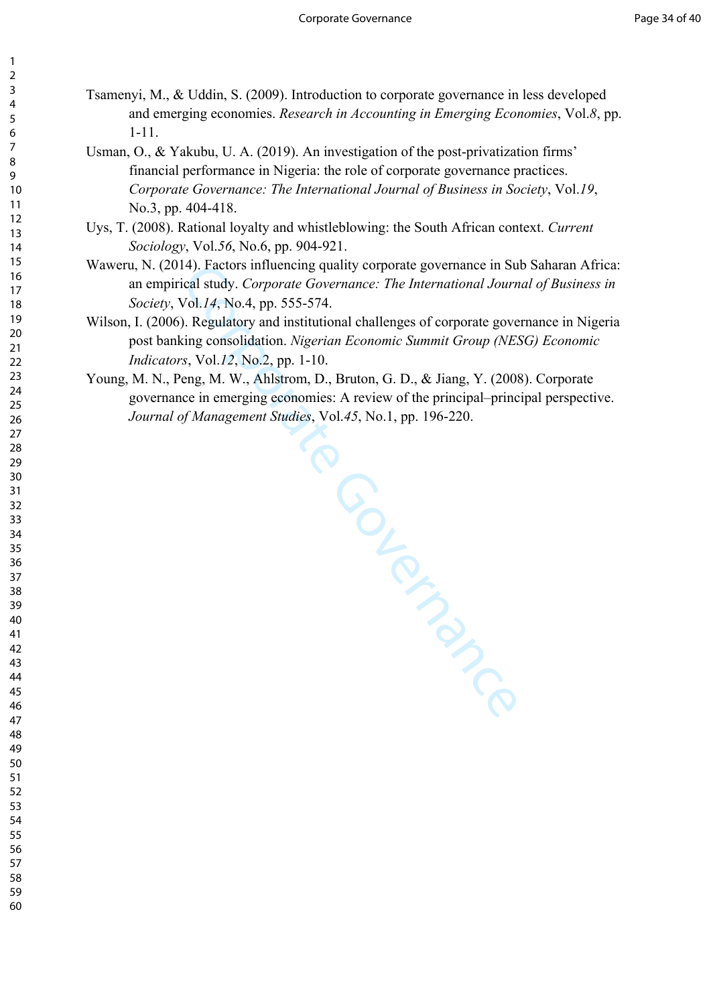- Tsamenyi, M., & Uddin, S. (2009). Introduction to corporate governance in less developed and emerging economies. *Research in Accounting in Emerging Economies*, Vol.*8*, pp. 1-11.
- Usman, O., & Yakubu, U. A. (2019). An investigation of the post-privatization firms' financial performance in Nigeria: the role of corporate governance practices. *Corporate Governance: The International Journal of Business in Society*, Vol.*19*, No.3, pp. 404-418.
- Uys, T. (2008). Rational loyalty and whistleblowing: the South African context. *Current Sociology*, Vol.*56*, No.6, pp. 904-921.
- Waweru, N. (2014). Factors influencing quality corporate governance in Sub Saharan Africa: an empirical study. *Corporate Governance: The International Journal of Business in Society*, Vol.*14*, No.4, pp. 555-574.
- Wilson, I. (2006). Regulatory and institutional challenges of corporate governance in Nigeria post banking consolidation. *Nigerian Economic Summit Group (NESG) Economic Indicators*, Vol.*12*, No.2, pp. 1-10.
- Manuel Corporation Corporation Young, M. N., Peng, M. W., Ahlstrom, D., Bruton, G. D., & Jiang, Y. (2008). Corporate governance in emerging economies: A review of the principal–principal perspective. *Journal of Management Studies*, Vol.*45*, No.1, pp. 196-220.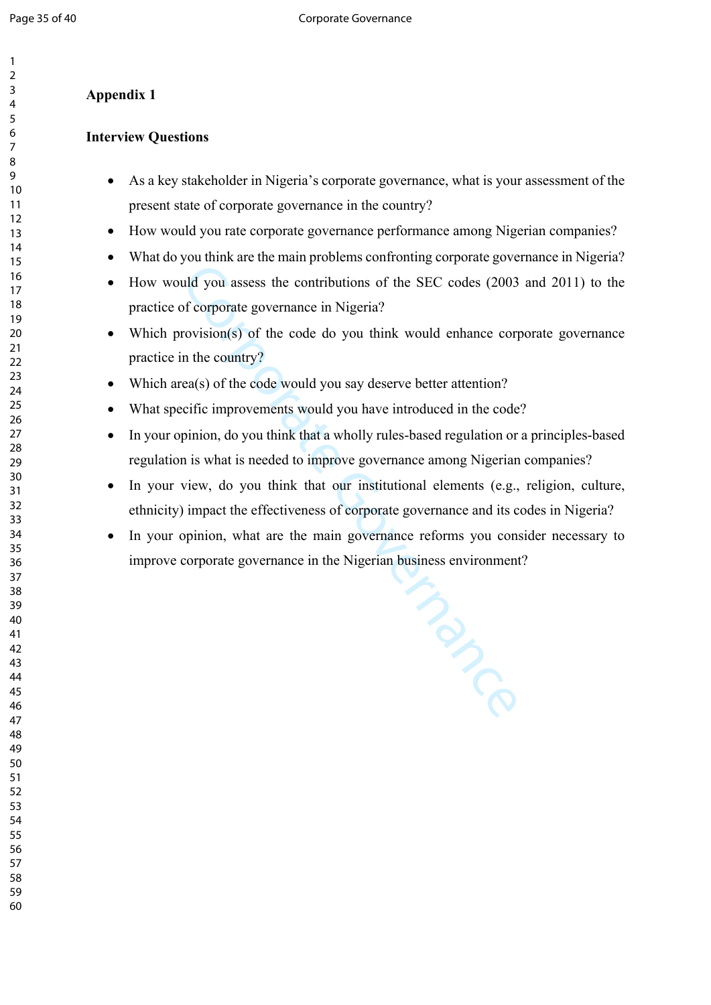# **Appendix 1**

## **Interview Questions**

- As a key stakeholder in Nigeria's corporate governance, what is your assessment of the present state of corporate governance in the country?
- How would you rate corporate governance performance among Nigerian companies?
- What do you think are the main problems confronting corporate governance in Nigeria?
- How would you assess the contributions of the SEC codes (2003 and 2011) to the practice of corporate governance in Nigeria?
- Which provision(s) of the code do you think would enhance corporate governance practice in the country?
- Which area(s) of the code would you say deserve better attention?
- What specific improvements would you have introduced in the code?
- In your opinion, do you think that a wholly rules-based regulation or a principles-based regulation is what is needed to improve governance among Nigerian companies?
- In your view, do you think that our institutional elements (e.g., religion, culture, ethnicity) impact the effectiveness of corporate governance and its codes in Nigeria?
- In your opinion, what are the main governance reforms you consider necessary to improve corporate governance in the Nigerian business environment?

Colco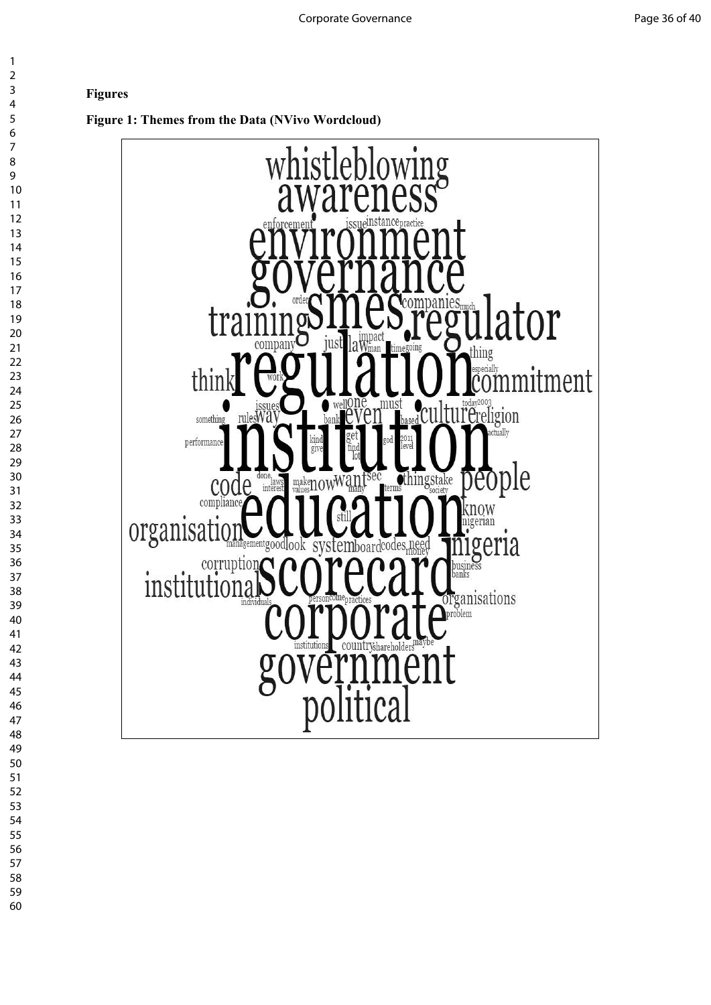# **Figures**

**Figure 1: Themes from the Data (NVivo Wordcloud)**

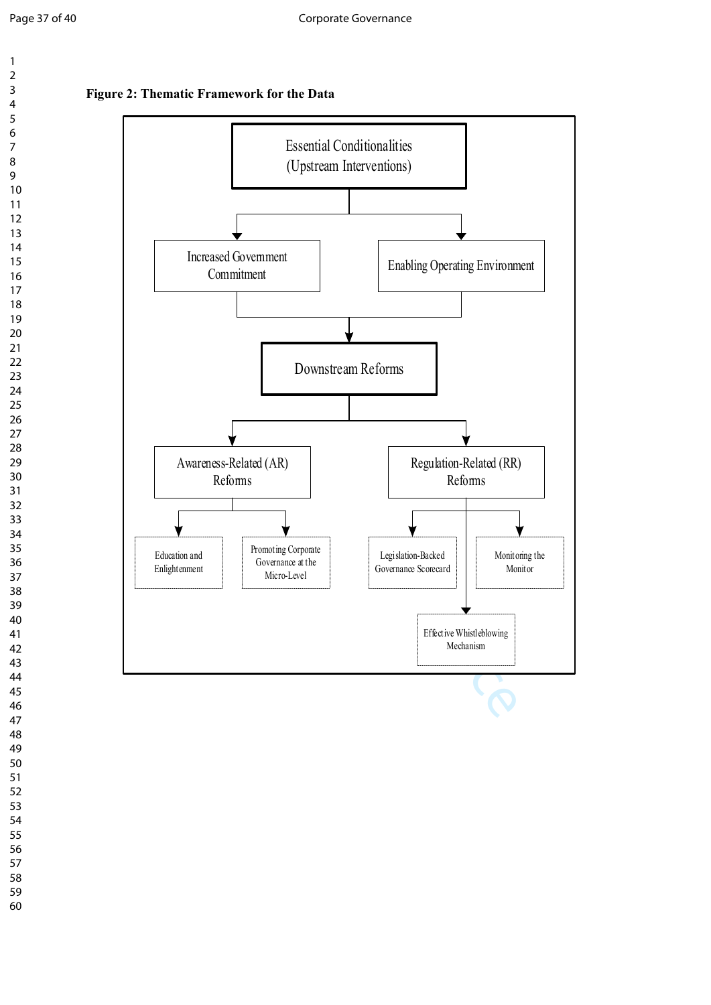

Effective Whistleblowing Mechanism

# **Figure 2: Thematic Framework for the Data**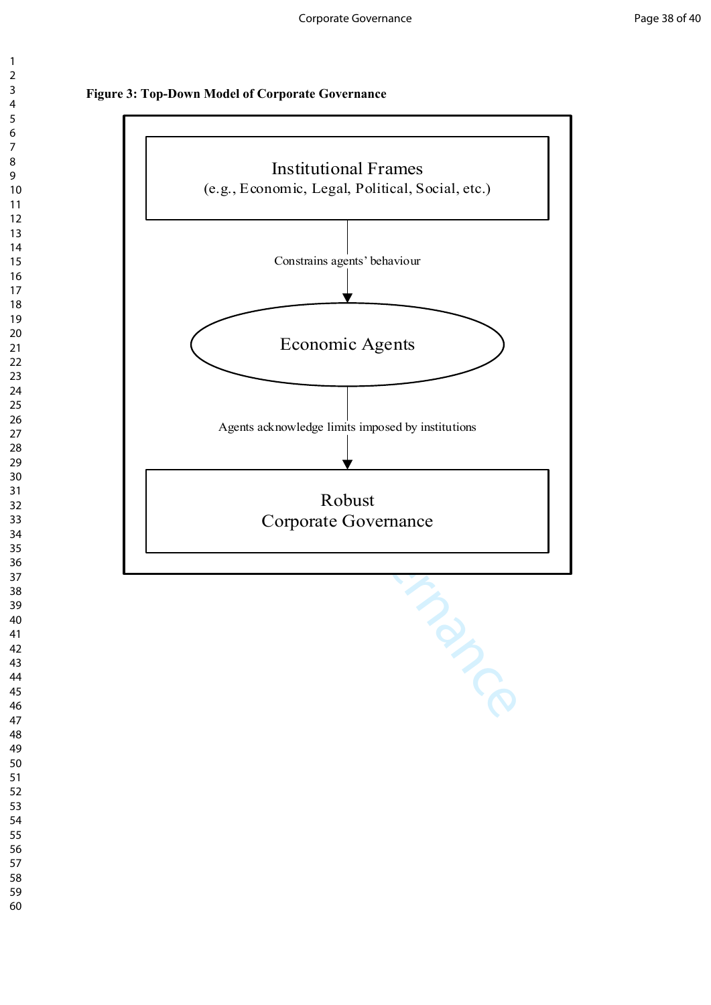

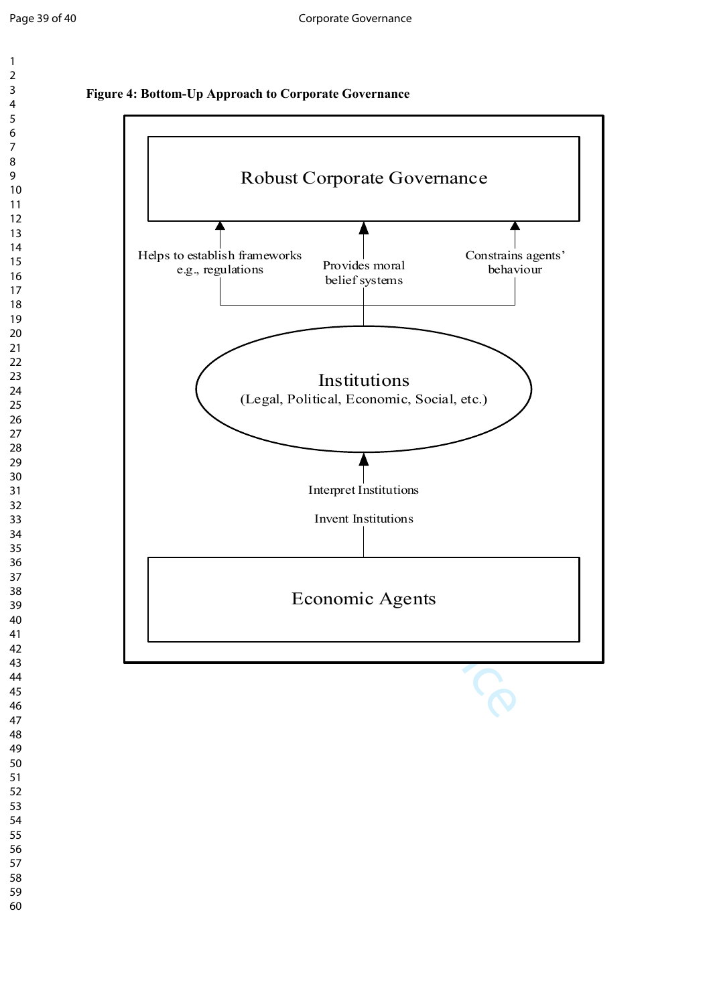